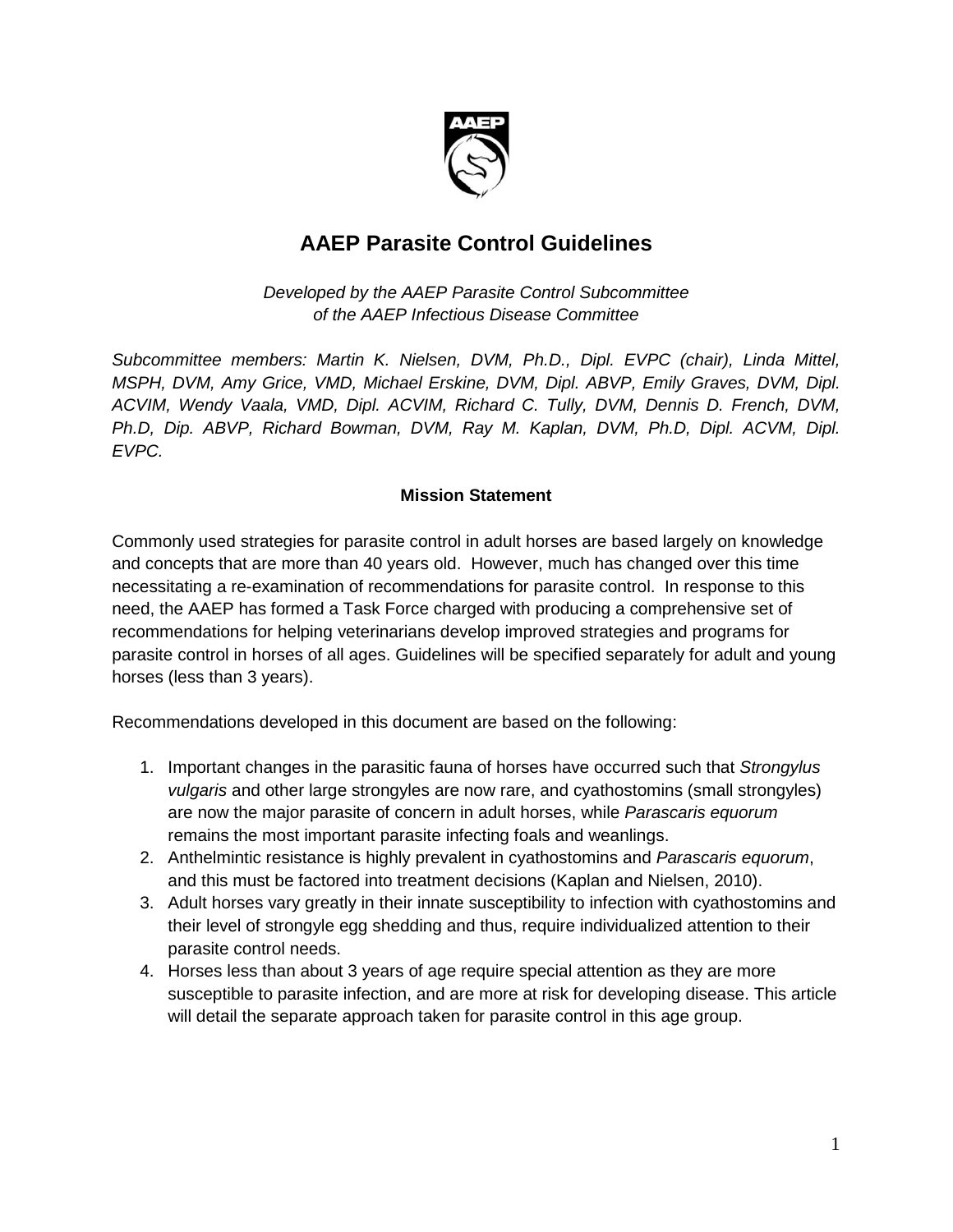

# **AAEP Parasite Control Guidelines**

*Developed by the AAEP Parasite Control Subcommittee of the AAEP Infectious Disease Committee*

*Subcommittee members: Martin K. Nielsen, DVM, Ph.D., Dipl. EVPC (chair), Linda Mittel, MSPH, DVM, Amy Grice, VMD, Michael Erskine, DVM, Dipl. ABVP, Emily Graves, DVM, Dipl. ACVIM, Wendy Vaala, VMD, Dipl. ACVIM, Richard C. Tully, DVM, Dennis D. French, DVM, Ph.D, Dip. ABVP, Richard Bowman, DVM, Ray M. Kaplan, DVM, Ph.D, Dipl. ACVM, Dipl. EVPC.*

#### **Mission Statement**

Commonly used strategies for parasite control in adult horses are based largely on knowledge and concepts that are more than 40 years old. However, much has changed over this time necessitating a re-examination of recommendations for parasite control. In response to this need, the AAEP has formed a Task Force charged with producing a comprehensive set of recommendations for helping veterinarians develop improved strategies and programs for parasite control in horses of all ages. Guidelines will be specified separately for adult and young horses (less than 3 years).

Recommendations developed in this document are based on the following:

- 1. Important changes in the parasitic fauna of horses have occurred such that *Strongylus vulgaris* and other large strongyles are now rare, and cyathostomins (small strongyles) are now the major parasite of concern in adult horses, while *Parascaris equorum* remains the most important parasite infecting foals and weanlings.
- 2. Anthelmintic resistance is highly prevalent in cyathostomins and *Parascaris equorum*, and this must be factored into treatment decisions (Kaplan and Nielsen, 2010).
- 3. Adult horses vary greatly in their innate susceptibility to infection with cyathostomins and their level of strongyle egg shedding and thus, require individualized attention to their parasite control needs.
- 4. Horses less than about 3 years of age require special attention as they are more susceptible to parasite infection, and are more at risk for developing disease. This article will detail the separate approach taken for parasite control in this age group.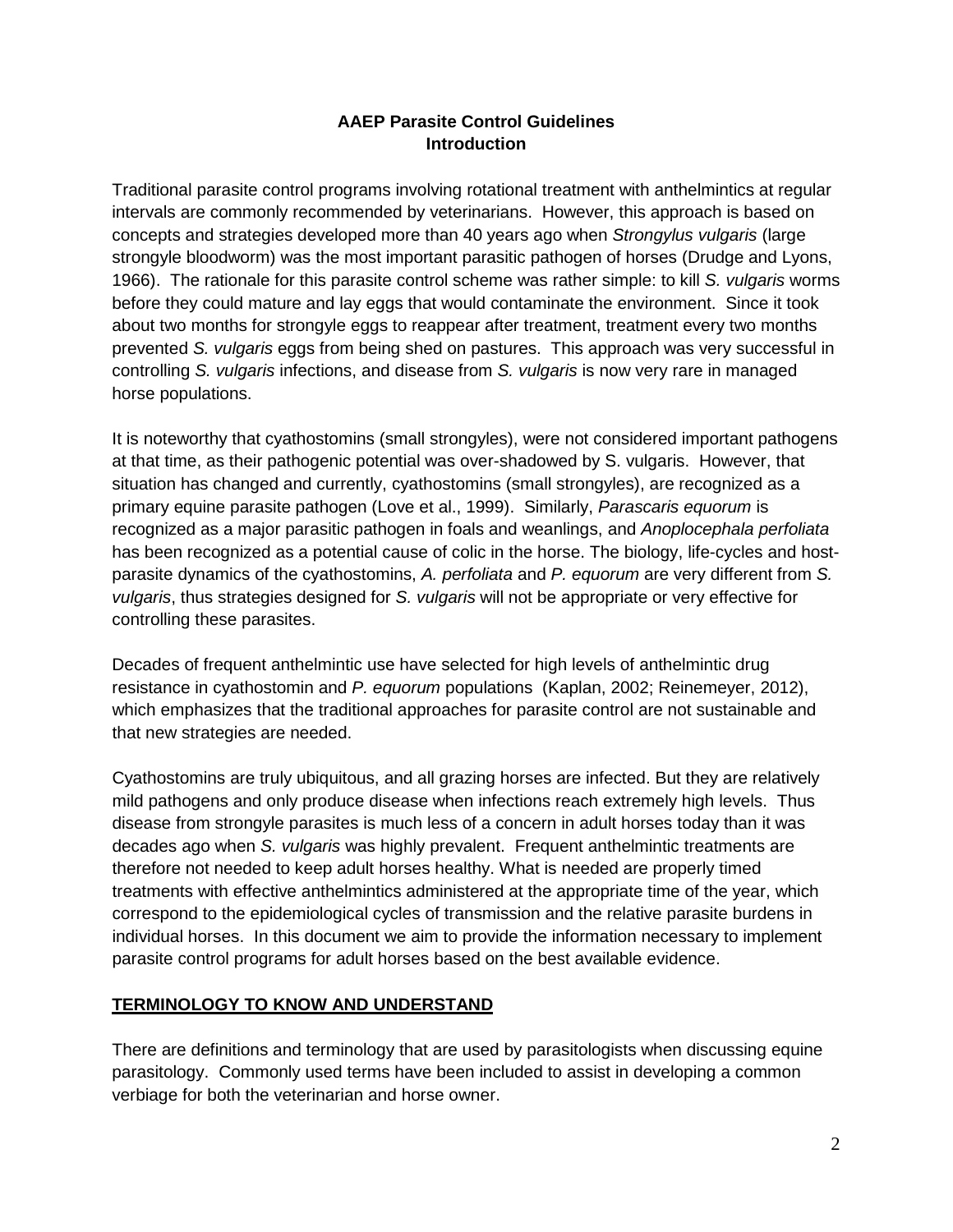## **AAEP Parasite Control Guidelines Introduction**

Traditional parasite control programs involving rotational treatment with anthelmintics at regular intervals are commonly recommended by veterinarians. However, this approach is based on concepts and strategies developed more than 40 years ago when *Strongylus vulgaris* (large strongyle bloodworm) was the most important parasitic pathogen of horses (Drudge and Lyons, 1966). The rationale for this parasite control scheme was rather simple: to kill *S. vulgaris* worms before they could mature and lay eggs that would contaminate the environment. Since it took about two months for strongyle eggs to reappear after treatment, treatment every two months prevented *S. vulgaris* eggs from being shed on pastures. This approach was very successful in controlling *S. vulgaris* infections, and disease from *S. vulgaris* is now very rare in managed horse populations.

It is noteworthy that cyathostomins (small strongyles), were not considered important pathogens at that time, as their pathogenic potential was over-shadowed by S. vulgaris. However, that situation has changed and currently, cyathostomins (small strongyles), are recognized as a primary equine parasite pathogen (Love et al., 1999). Similarly, *Parascaris equorum* is recognized as a major parasitic pathogen in foals and weanlings, and *Anoplocephala perfoliata* has been recognized as a potential cause of colic in the horse. The biology, life-cycles and hostparasite dynamics of the cyathostomins, *A. perfoliata* and *P. equorum* are very different from *S. vulgaris*, thus strategies designed for *S. vulgaris* will not be appropriate or very effective for controlling these parasites.

Decades of frequent anthelmintic use have selected for high levels of anthelmintic drug resistance in cyathostomin and *P. equorum* populations (Kaplan, 2002; Reinemeyer, 2012), which emphasizes that the traditional approaches for parasite control are not sustainable and that new strategies are needed.

Cyathostomins are truly ubiquitous, and all grazing horses are infected. But they are relatively mild pathogens and only produce disease when infections reach extremely high levels. Thus disease from strongyle parasites is much less of a concern in adult horses today than it was decades ago when *S. vulgaris* was highly prevalent. Frequent anthelmintic treatments are therefore not needed to keep adult horses healthy. What is needed are properly timed treatments with effective anthelmintics administered at the appropriate time of the year, which correspond to the epidemiological cycles of transmission and the relative parasite burdens in individual horses. In this document we aim to provide the information necessary to implement parasite control programs for adult horses based on the best available evidence.

#### **TERMINOLOGY TO KNOW AND UNDERSTAND**

There are definitions and terminology that are used by parasitologists when discussing equine parasitology. Commonly used terms have been included to assist in developing a common verbiage for both the veterinarian and horse owner.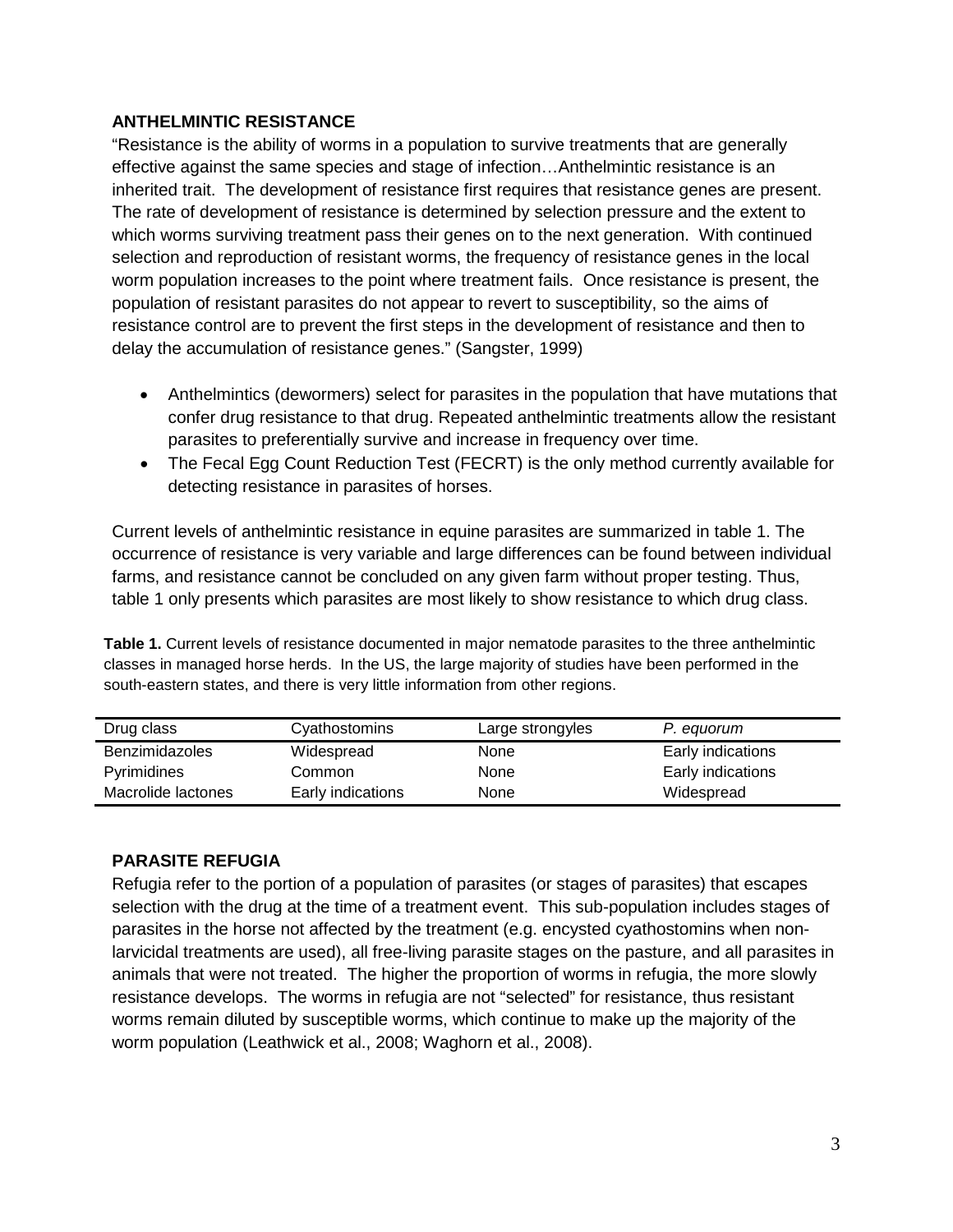#### **ANTHELMINTIC RESISTANCE**

"Resistance is the ability of worms in a population to survive treatments that are generally effective against the same species and stage of infection…Anthelmintic resistance is an inherited trait. The development of resistance first requires that resistance genes are present. The rate of development of resistance is determined by selection pressure and the extent to which worms surviving treatment pass their genes on to the next generation. With continued selection and reproduction of resistant worms, the frequency of resistance genes in the local worm population increases to the point where treatment fails. Once resistance is present, the population of resistant parasites do not appear to revert to susceptibility, so the aims of resistance control are to prevent the first steps in the development of resistance and then to delay the accumulation of resistance genes." (Sangster, 1999)

- Anthelmintics (dewormers) select for parasites in the population that have mutations that confer drug resistance to that drug. Repeated anthelmintic treatments allow the resistant parasites to preferentially survive and increase in frequency over time.
- The Fecal Egg Count Reduction Test (FECRT) is the only method currently available for detecting resistance in parasites of horses.

Current levels of anthelmintic resistance in equine parasites are summarized in table 1. The occurrence of resistance is very variable and large differences can be found between individual farms, and resistance cannot be concluded on any given farm without proper testing. Thus, table 1 only presents which parasites are most likely to show resistance to which drug class.

**Table 1.** Current levels of resistance documented in major nematode parasites to the three anthelmintic classes in managed horse herds. In the US, the large majority of studies have been performed in the south-eastern states, and there is very little information from other regions.

| Drug class            | Cyathostomins     | Large strongyles | P. equorum        |
|-----------------------|-------------------|------------------|-------------------|
| <b>Benzimidazoles</b> | Widespread        | None             | Early indications |
| Pyrimidines           | Common            | None             | Early indications |
| Macrolide lactones    | Early indications | None             | Widespread        |

#### **PARASITE REFUGIA**

Refugia refer to the portion of a population of parasites (or stages of parasites) that escapes selection with the drug at the time of a treatment event. This sub-population includes stages of parasites in the horse not affected by the treatment (e.g. encysted cyathostomins when nonlarvicidal treatments are used), all free-living parasite stages on the pasture, and all parasites in animals that were not treated. The higher the proportion of worms in refugia, the more slowly resistance develops. The worms in refugia are not "selected" for resistance, thus resistant worms remain diluted by susceptible worms, which continue to make up the majority of the worm population (Leathwick et al., 2008; Waghorn et al., 2008).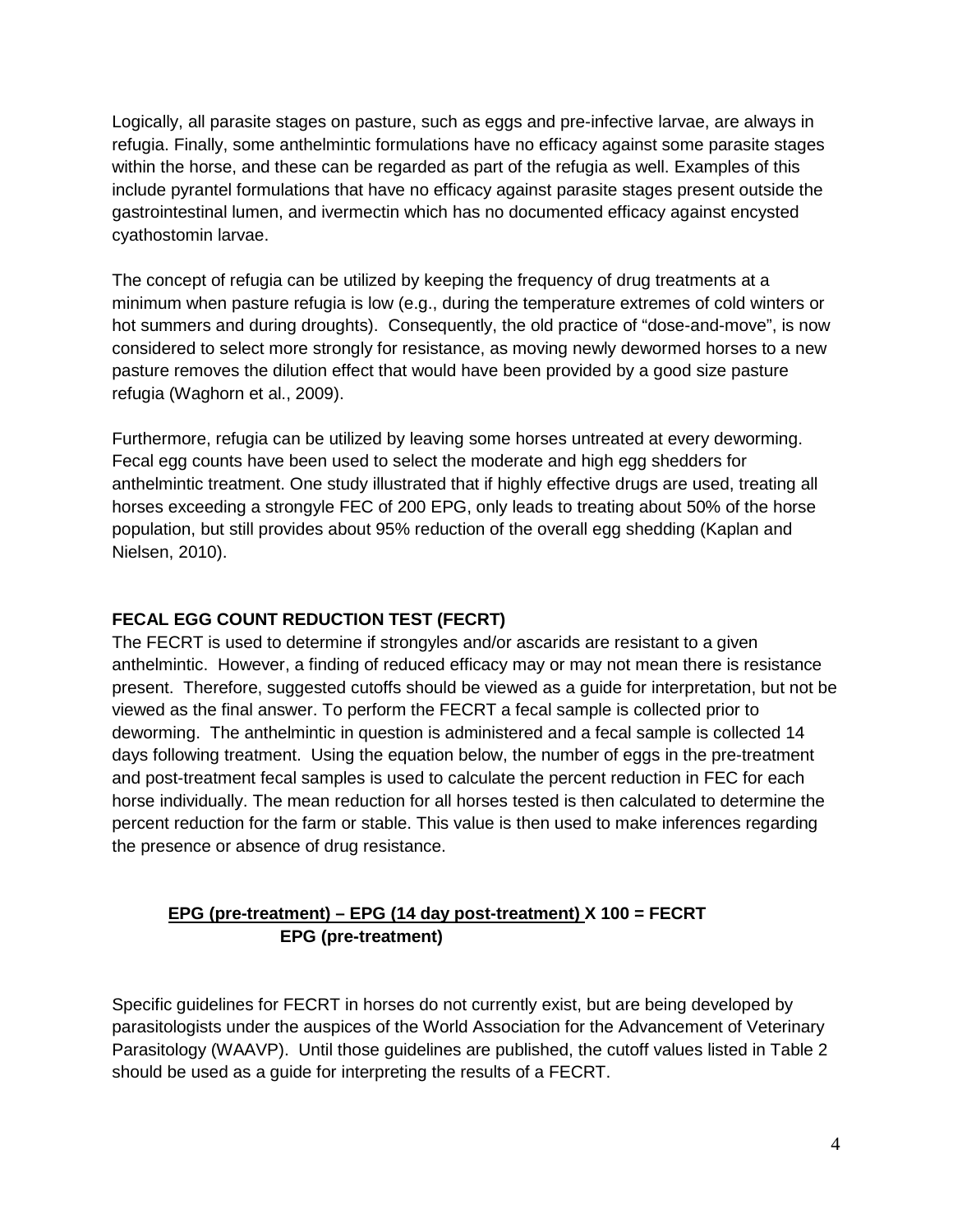Logically, all parasite stages on pasture, such as eggs and pre-infective larvae, are always in refugia. Finally, some anthelmintic formulations have no efficacy against some parasite stages within the horse, and these can be regarded as part of the refugia as well. Examples of this include pyrantel formulations that have no efficacy against parasite stages present outside the gastrointestinal lumen, and ivermectin which has no documented efficacy against encysted cyathostomin larvae.

The concept of refugia can be utilized by keeping the frequency of drug treatments at a minimum when pasture refugia is low (e.g., during the temperature extremes of cold winters or hot summers and during droughts). Consequently, the old practice of "dose-and-move", is now considered to select more strongly for resistance, as moving newly dewormed horses to a new pasture removes the dilution effect that would have been provided by a good size pasture refugia (Waghorn et al., 2009).

Furthermore, refugia can be utilized by leaving some horses untreated at every deworming. Fecal egg counts have been used to select the moderate and high egg shedders for anthelmintic treatment. One study illustrated that if highly effective drugs are used, treating all horses exceeding a strongyle FEC of 200 EPG, only leads to treating about 50% of the horse population, but still provides about 95% reduction of the overall egg shedding (Kaplan and Nielsen, 2010).

## **FECAL EGG COUNT REDUCTION TEST (FECRT)**

The FECRT is used to determine if strongyles and/or ascarids are resistant to a given anthelmintic. However, a finding of reduced efficacy may or may not mean there is resistance present. Therefore, suggested cutoffs should be viewed as a guide for interpretation, but not be viewed as the final answer. To perform the FECRT a fecal sample is collected prior to deworming. The anthelmintic in question is administered and a fecal sample is collected 14 days following treatment. Using the equation below, the number of eggs in the pre-treatment and post-treatment fecal samples is used to calculate the percent reduction in FEC for each horse individually. The mean reduction for all horses tested is then calculated to determine the percent reduction for the farm or stable. This value is then used to make inferences regarding the presence or absence of drug resistance.

## **EPG (pre-treatment) – EPG (14 day post-treatment) X 100 = FECRT EPG (pre-treatment)**

Specific guidelines for FECRT in horses do not currently exist, but are being developed by parasitologists under the auspices of the World Association for the Advancement of Veterinary Parasitology (WAAVP). Until those guidelines are published, the cutoff values listed in Table 2 should be used as a guide for interpreting the results of a FECRT.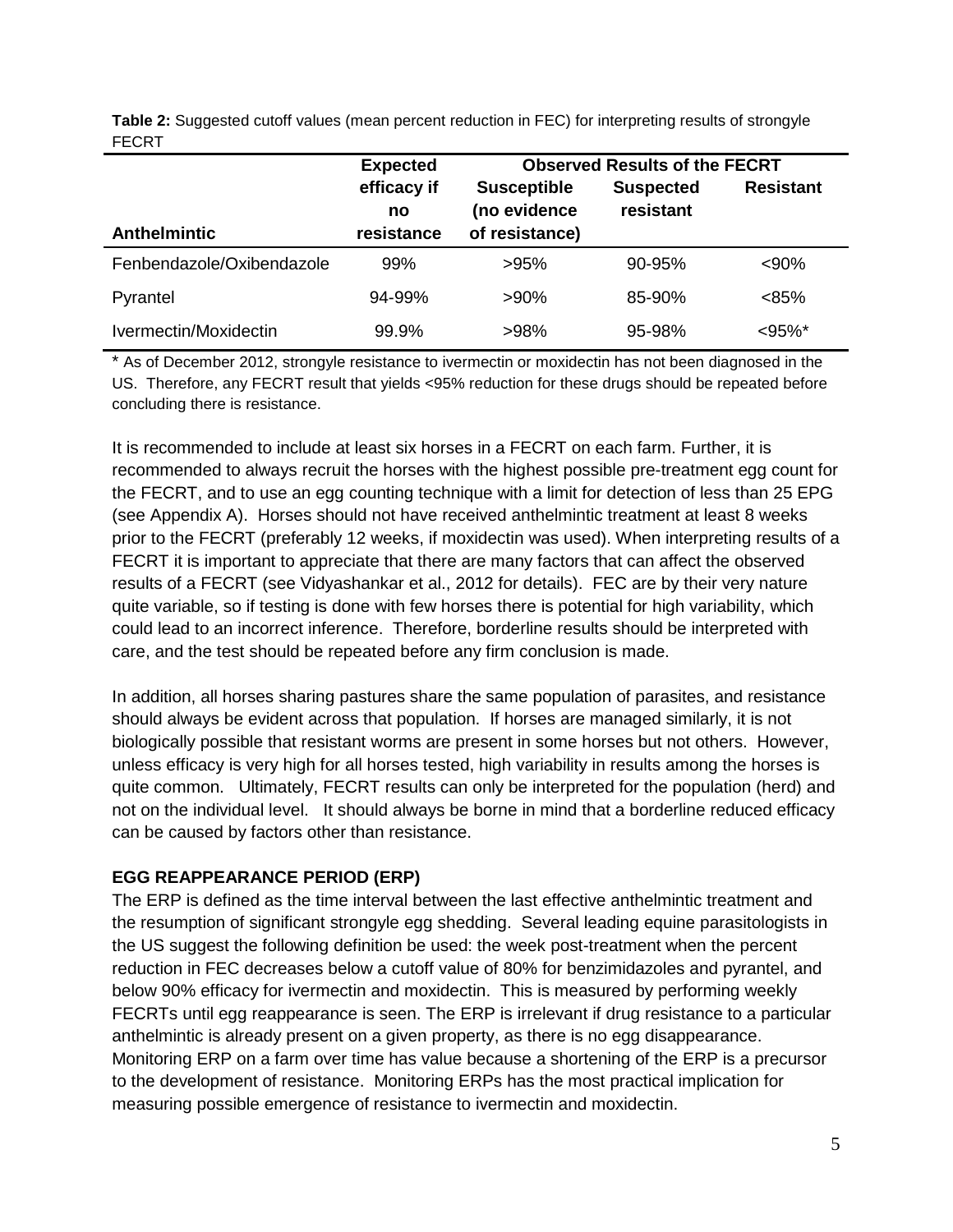|              | Table 2: Suggested cutoff values (mean percent reduction in FEC) for interpreting results of strongyle |
|--------------|--------------------------------------------------------------------------------------------------------|
| <b>FECRT</b> |                                                                                                        |

|                           | <b>Expected</b>   | <b>Observed Results of the FECRT</b> |                               |                  |
|---------------------------|-------------------|--------------------------------------|-------------------------------|------------------|
|                           | efficacy if<br>no | <b>Susceptible</b><br>(no evidence   | <b>Suspected</b><br>resistant | <b>Resistant</b> |
| <b>Anthelmintic</b>       | resistance        | of resistance)                       |                               |                  |
| Fenbendazole/Oxibendazole | 99%               | >95%                                 | 90-95%                        | $<90\%$          |
| Pyrantel                  | 94-99%            | $>90\%$                              | $85 - 90%$                    | < 85%            |
| Ivermectin/Moxidectin     | 99.9%             | >98%                                 | 95-98%                        | $< 95\%$ *       |

\* As of December 2012, strongyle resistance to ivermectin or moxidectin has not been diagnosed in the US. Therefore, any FECRT result that yields <95% reduction for these drugs should be repeated before concluding there is resistance.

It is recommended to include at least six horses in a FECRT on each farm. Further, it is recommended to always recruit the horses with the highest possible pre-treatment egg count for the FECRT, and to use an egg counting technique with a limit for detection of less than 25 EPG (see Appendix A). Horses should not have received anthelmintic treatment at least 8 weeks prior to the FECRT (preferably 12 weeks, if moxidectin was used). When interpreting results of a FECRT it is important to appreciate that there are many factors that can affect the observed results of a FECRT (see Vidyashankar et al., 2012 for details). FEC are by their very nature quite variable, so if testing is done with few horses there is potential for high variability, which could lead to an incorrect inference. Therefore, borderline results should be interpreted with care, and the test should be repeated before any firm conclusion is made.

In addition, all horses sharing pastures share the same population of parasites, and resistance should always be evident across that population. If horses are managed similarly, it is not biologically possible that resistant worms are present in some horses but not others. However, unless efficacy is very high for all horses tested, high variability in results among the horses is quite common. Ultimately, FECRT results can only be interpreted for the population (herd) and not on the individual level. It should always be borne in mind that a borderline reduced efficacy can be caused by factors other than resistance.

#### **EGG REAPPEARANCE PERIOD (ERP)**

The ERP is defined as the time interval between the last effective anthelmintic treatment and the resumption of significant strongyle egg shedding. Several leading equine parasitologists in the US suggest the following definition be used: the week post-treatment when the percent reduction in FEC decreases below a cutoff value of 80% for benzimidazoles and pyrantel, and below 90% efficacy for ivermectin and moxidectin. This is measured by performing weekly FECRTs until egg reappearance is seen. The ERP is irrelevant if drug resistance to a particular anthelmintic is already present on a given property, as there is no egg disappearance. Monitoring ERP on a farm over time has value because a shortening of the ERP is a precursor to the development of resistance. Monitoring ERPs has the most practical implication for measuring possible emergence of resistance to ivermectin and moxidectin.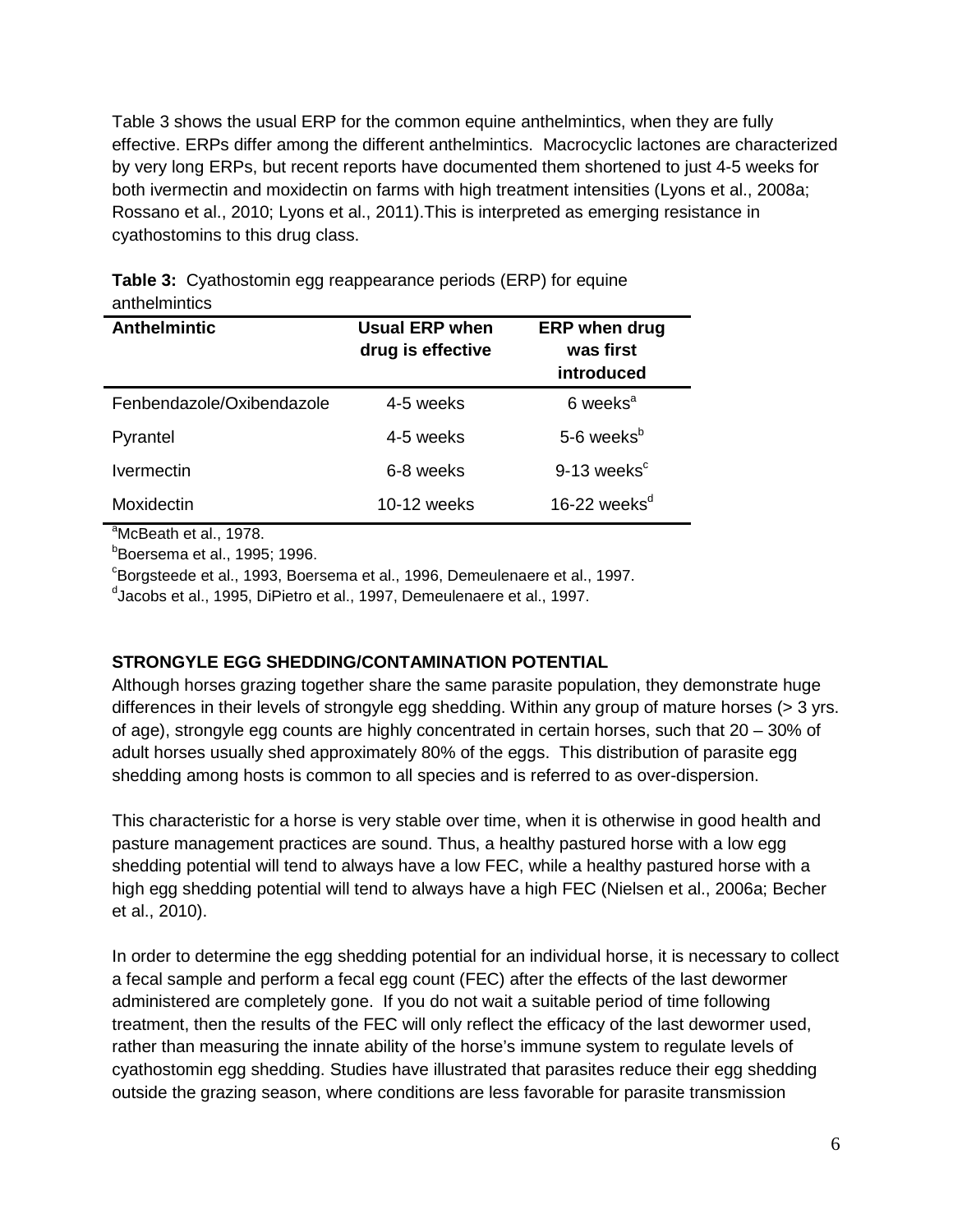Table 3 shows the usual ERP for the common equine anthelmintics, when they are fully effective. ERPs differ among the different anthelmintics. Macrocyclic lactones are characterized by very long ERPs, but recent reports have documented them shortened to just 4-5 weeks for both ivermectin and moxidectin on farms with high treatment intensities (Lyons et al., 2008a; Rossano et al., 2010; Lyons et al., 2011).This is interpreted as emerging resistance in cyathostomins to this drug class.

| anuviminuv                      |                                     |                                                 |
|---------------------------------|-------------------------------------|-------------------------------------------------|
| <b>Anthelmintic</b>             | Usual ERP when<br>drug is effective | <b>ERP</b> when drug<br>was first<br>introduced |
| Fenbendazole/Oxibendazole       | 4-5 weeks                           | 6 weeks <sup>a</sup>                            |
| Pyrantel                        | 4-5 weeks                           | 5-6 weeks <sup>b</sup>                          |
| <i><u><b>Ivermectin</b></u></i> | 6-8 weeks                           | $9-13$ weeks <sup>c</sup>                       |
| Moxidectin                      | 10-12 weeks                         | 16-22 weeks $d$                                 |

**Table 3:** Cyathostomin egg reappearance periods (ERP) for equine anthelmintics

<sup>a</sup>McBeath et al., 1978.

b Boersema et al., 1995; 1996.

c Borgsteede et al., 1993, Boersema et al., 1996, Demeulenaere et al., 1997.

d Jacobs et al., 1995, DiPietro et al., 1997, Demeulenaere et al., 1997.

#### **STRONGYLE EGG SHEDDING/CONTAMINATION POTENTIAL**

Although horses grazing together share the same parasite population, they demonstrate huge differences in their levels of strongyle egg shedding. Within any group of mature horses (> 3 yrs. of age), strongyle egg counts are highly concentrated in certain horses, such that 20 – 30% of adult horses usually shed approximately 80% of the eggs. This distribution of parasite egg shedding among hosts is common to all species and is referred to as over-dispersion.

This characteristic for a horse is very stable over time, when it is otherwise in good health and pasture management practices are sound. Thus, a healthy pastured horse with a low egg shedding potential will tend to always have a low FEC, while a healthy pastured horse with a high egg shedding potential will tend to always have a high FEC (Nielsen et al., 2006a; Becher et al., 2010).

In order to determine the egg shedding potential for an individual horse, it is necessary to collect a fecal sample and perform a fecal egg count (FEC) after the effects of the last dewormer administered are completely gone. If you do not wait a suitable period of time following treatment, then the results of the FEC will only reflect the efficacy of the last dewormer used, rather than measuring the innate ability of the horse's immune system to regulate levels of cyathostomin egg shedding. Studies have illustrated that parasites reduce their egg shedding outside the grazing season, where conditions are less favorable for parasite transmission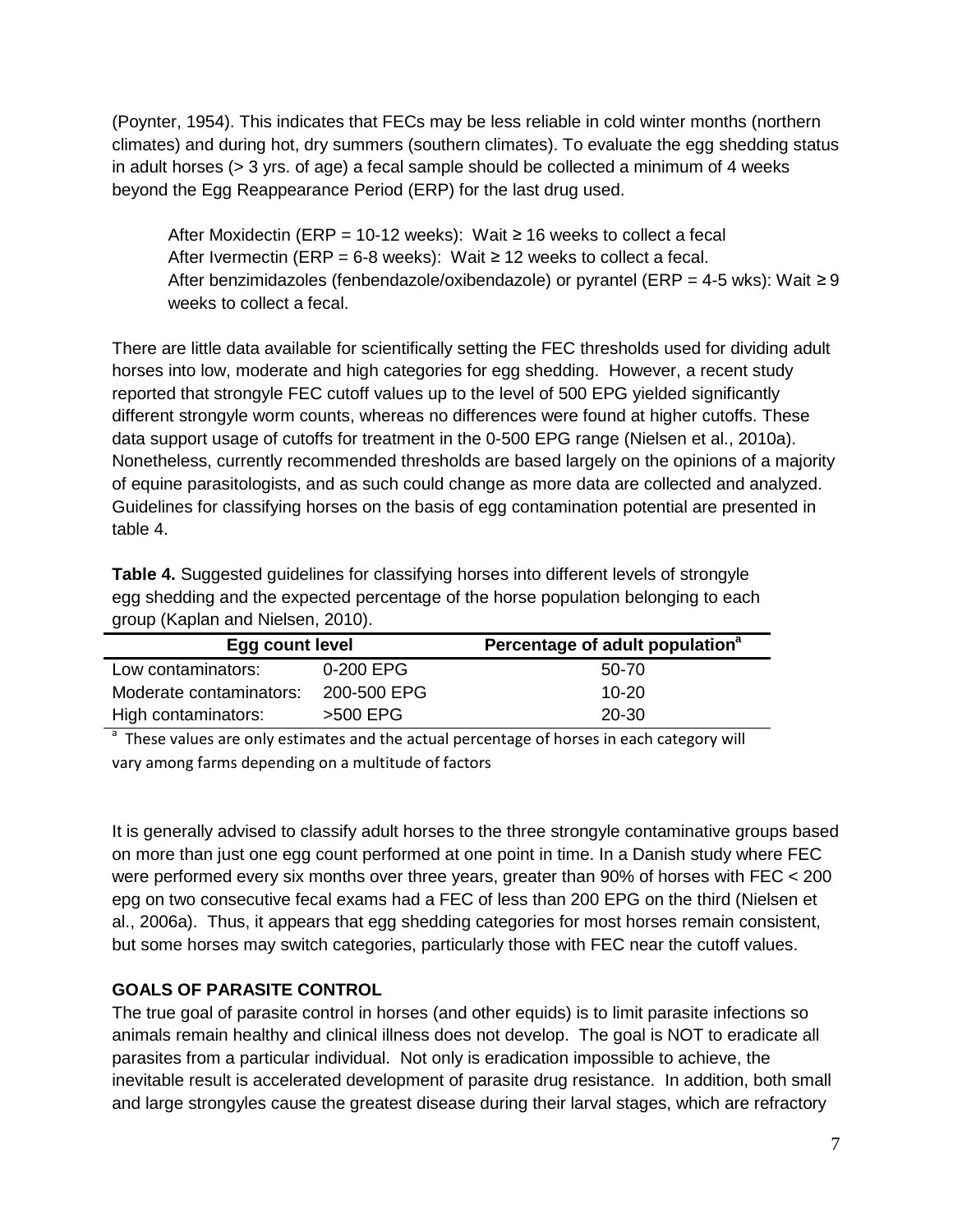(Poynter, 1954). This indicates that FECs may be less reliable in cold winter months (northern climates) and during hot, dry summers (southern climates). To evaluate the egg shedding status in adult horses ( $>$  3 yrs. of age) a fecal sample should be collected a minimum of 4 weeks beyond the Egg Reappearance Period (ERP) for the last drug used.

After Moxidectin (ERP = 10-12 weeks): Wait ≥ 16 weeks to collect a fecal After Ivermectin (ERP = 6-8 weeks): Wait  $\geq$  12 weeks to collect a fecal. After benzimidazoles (fenbendazole/oxibendazole) or pyrantel (ERP = 4-5 wks): Wait ≥ 9 weeks to collect a fecal.

There are little data available for scientifically setting the FEC thresholds used for dividing adult horses into low, moderate and high categories for egg shedding. However, a recent study reported that strongyle FEC cutoff values up to the level of 500 EPG yielded significantly different strongyle worm counts, whereas no differences were found at higher cutoffs. These data support usage of cutoffs for treatment in the 0-500 EPG range (Nielsen et al., 2010a). Nonetheless, currently recommended thresholds are based largely on the opinions of a majority of equine parasitologists, and as such could change as more data are collected and analyzed. Guidelines for classifying horses on the basis of egg contamination potential are presented in table 4.

**Table 4.** Suggested guidelines for classifying horses into different levels of strongyle egg shedding and the expected percentage of the horse population belonging to each group (Kaplan and Nielsen, 2010).

| Egg count level         |             | Percentage of adult population <sup>a</sup> |
|-------------------------|-------------|---------------------------------------------|
| Low contaminators:      | 0-200 EPG   | 50-70                                       |
| Moderate contaminators: | 200-500 EPG | $10 - 20$                                   |
| High contaminators:     | >500 EPG    | 20-30                                       |

<sup>a</sup> These values are only estimates and the actual percentage of horses in each category will vary among farms depending on a multitude of factors

It is generally advised to classify adult horses to the three strongyle contaminative groups based on more than just one egg count performed at one point in time. In a Danish study where FEC were performed every six months over three years, greater than 90% of horses with FEC < 200 epg on two consecutive fecal exams had a FEC of less than 200 EPG on the third (Nielsen et al., 2006a). Thus, it appears that egg shedding categories for most horses remain consistent, but some horses may switch categories, particularly those with FEC near the cutoff values.

#### **GOALS OF PARASITE CONTROL**

The true goal of parasite control in horses (and other equids) is to limit parasite infections so animals remain healthy and clinical illness does not develop. The goal is NOT to eradicate all parasites from a particular individual. Not only is eradication impossible to achieve, the inevitable result is accelerated development of parasite drug resistance. In addition, both small and large strongyles cause the greatest disease during their larval stages, which are refractory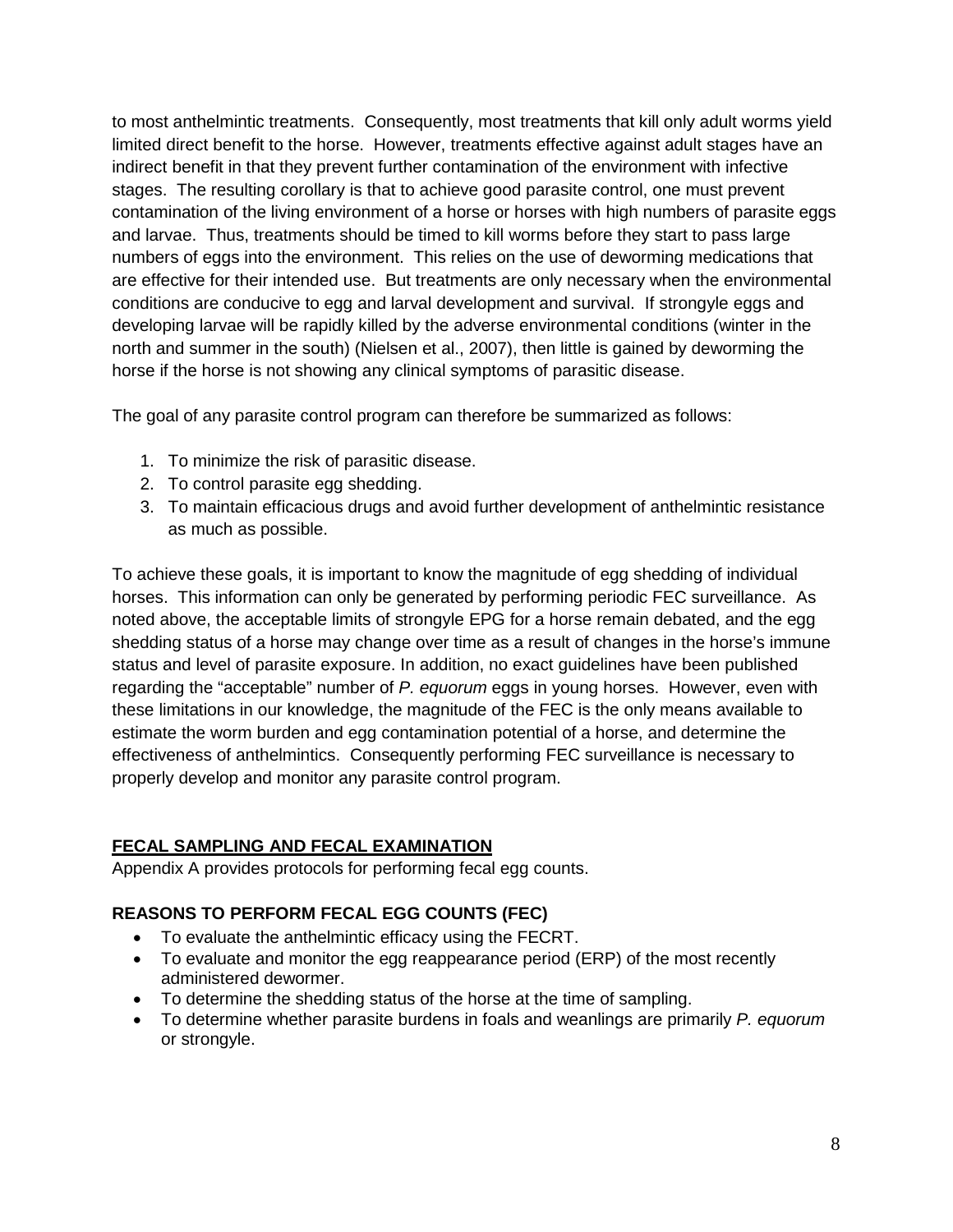to most anthelmintic treatments. Consequently, most treatments that kill only adult worms yield limited direct benefit to the horse. However, treatments effective against adult stages have an indirect benefit in that they prevent further contamination of the environment with infective stages. The resulting corollary is that to achieve good parasite control, one must prevent contamination of the living environment of a horse or horses with high numbers of parasite eggs and larvae. Thus, treatments should be timed to kill worms before they start to pass large numbers of eggs into the environment. This relies on the use of deworming medications that are effective for their intended use. But treatments are only necessary when the environmental conditions are conducive to egg and larval development and survival. If strongyle eggs and developing larvae will be rapidly killed by the adverse environmental conditions (winter in the north and summer in the south) (Nielsen et al., 2007), then little is gained by deworming the horse if the horse is not showing any clinical symptoms of parasitic disease.

The goal of any parasite control program can therefore be summarized as follows:

- 1. To minimize the risk of parasitic disease.
- 2. To control parasite egg shedding.
- 3. To maintain efficacious drugs and avoid further development of anthelmintic resistance as much as possible.

To achieve these goals, it is important to know the magnitude of egg shedding of individual horses. This information can only be generated by performing periodic FEC surveillance. As noted above, the acceptable limits of strongyle EPG for a horse remain debated, and the egg shedding status of a horse may change over time as a result of changes in the horse's immune status and level of parasite exposure. In addition, no exact guidelines have been published regarding the "acceptable" number of *P. equorum* eggs in young horses. However, even with these limitations in our knowledge, the magnitude of the FEC is the only means available to estimate the worm burden and egg contamination potential of a horse, and determine the effectiveness of anthelmintics. Consequently performing FEC surveillance is necessary to properly develop and monitor any parasite control program.

#### **FECAL SAMPLING AND FECAL EXAMINATION**

Appendix A provides protocols for performing fecal egg counts.

#### **REASONS TO PERFORM FECAL EGG COUNTS (FEC)**

- To evaluate the anthelmintic efficacy using the FECRT.
- To evaluate and monitor the egg reappearance period (ERP) of the most recently administered dewormer.
- To determine the shedding status of the horse at the time of sampling.
- To determine whether parasite burdens in foals and weanlings are primarily *P. equorum* or strongyle.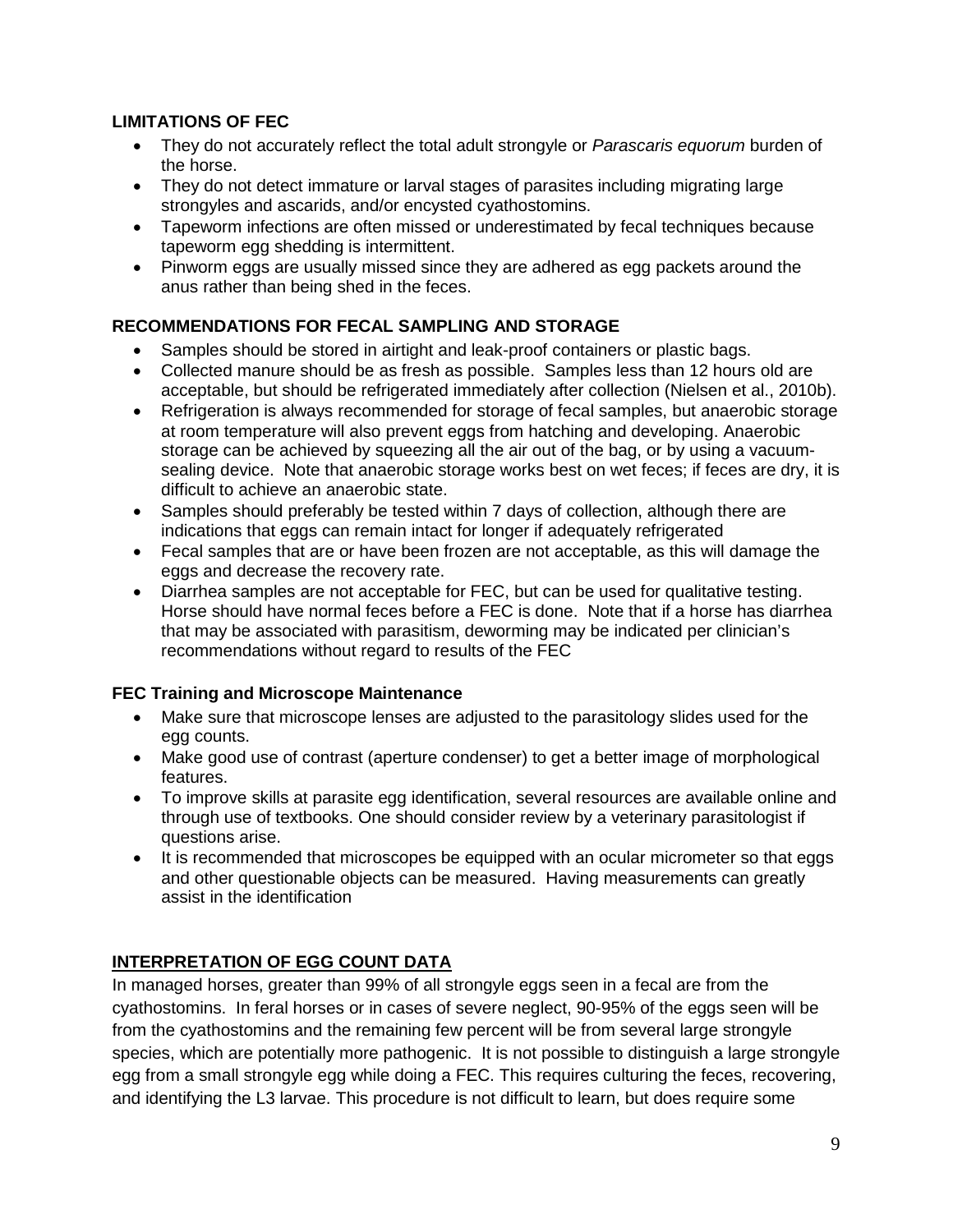## **LIMITATIONS OF FEC**

- They do not accurately reflect the total adult strongyle or *Parascaris equorum* burden of the horse.
- They do not detect immature or larval stages of parasites including migrating large strongyles and ascarids, and/or encysted cyathostomins.
- Tapeworm infections are often missed or underestimated by fecal techniques because tapeworm egg shedding is intermittent.
- Pinworm eggs are usually missed since they are adhered as egg packets around the anus rather than being shed in the feces.

## **RECOMMENDATIONS FOR FECAL SAMPLING AND STORAGE**

- Samples should be stored in airtight and leak-proof containers or plastic bags.
- Collected manure should be as fresh as possible. Samples less than 12 hours old are acceptable, but should be refrigerated immediately after collection (Nielsen et al., 2010b).
- Refrigeration is always recommended for storage of fecal samples, but anaerobic storage at room temperature will also prevent eggs from hatching and developing. Anaerobic storage can be achieved by squeezing all the air out of the bag, or by using a vacuumsealing device. Note that anaerobic storage works best on wet feces; if feces are dry, it is difficult to achieve an anaerobic state.
- Samples should preferably be tested within 7 days of collection, although there are indications that eggs can remain intact for longer if adequately refrigerated
- Fecal samples that are or have been frozen are not acceptable, as this will damage the eggs and decrease the recovery rate.
- Diarrhea samples are not acceptable for FEC, but can be used for qualitative testing. Horse should have normal feces before a FEC is done. Note that if a horse has diarrhea that may be associated with parasitism, deworming may be indicated per clinician's recommendations without regard to results of the FEC

#### **FEC Training and Microscope Maintenance**

- Make sure that microscope lenses are adjusted to the parasitology slides used for the egg counts.
- Make good use of contrast (aperture condenser) to get a better image of morphological features.
- To improve skills at parasite egg identification, several resources are available online and through use of textbooks. One should consider review by a veterinary parasitologist if questions arise.
- It is recommended that microscopes be equipped with an ocular micrometer so that eggs and other questionable objects can be measured. Having measurements can greatly assist in the identification

# **INTERPRETATION OF EGG COUNT DATA**

In managed horses, greater than 99% of all strongyle eggs seen in a fecal are from the cyathostomins. In feral horses or in cases of severe neglect, 90-95% of the eggs seen will be from the cyathostomins and the remaining few percent will be from several large strongyle species, which are potentially more pathogenic. It is not possible to distinguish a large strongyle egg from a small strongyle egg while doing a FEC. This requires culturing the feces, recovering, and identifying the L3 larvae. This procedure is not difficult to learn, but does require some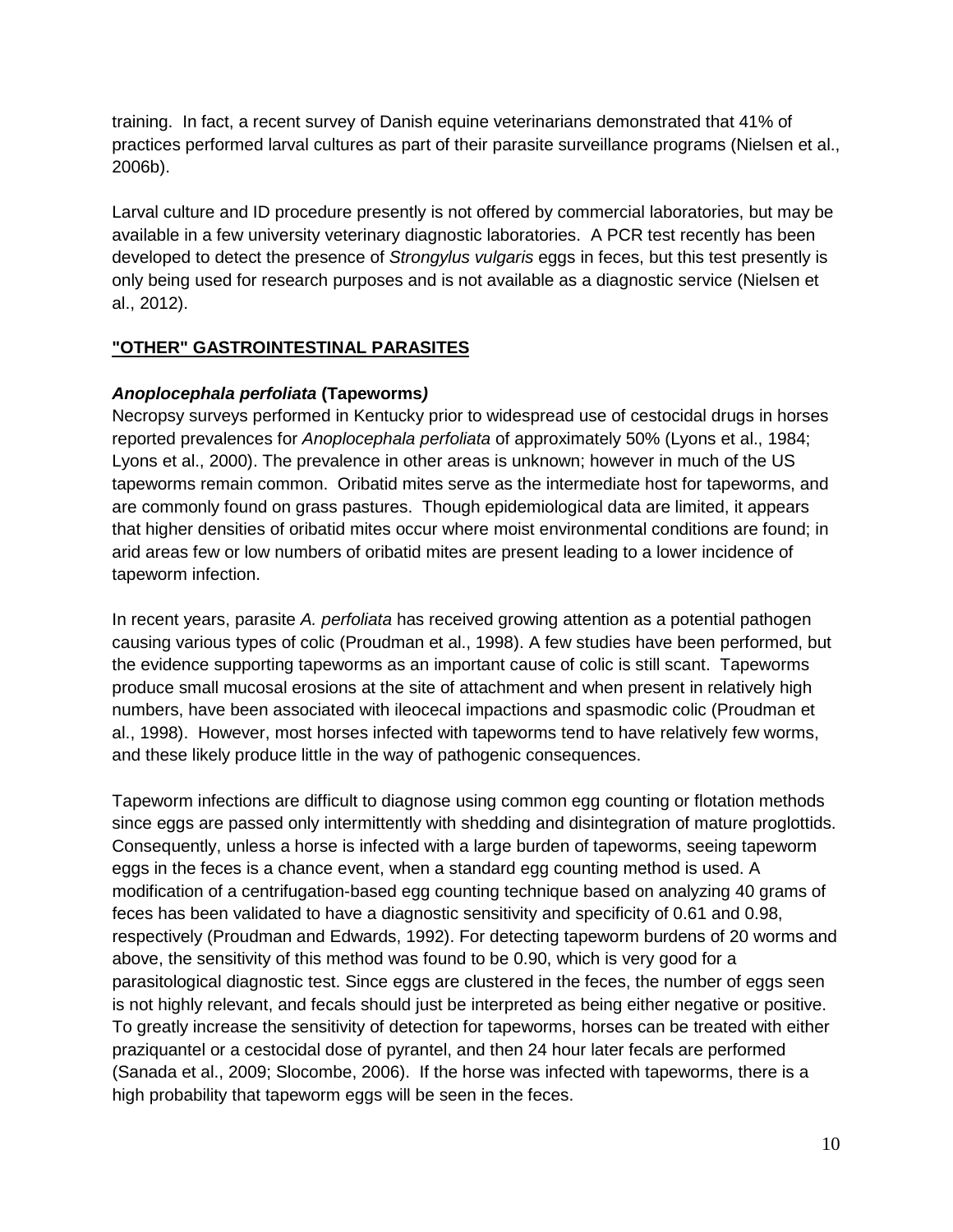training. In fact, a recent survey of Danish equine veterinarians demonstrated that 41% of practices performed larval cultures as part of their parasite surveillance programs (Nielsen et al., 2006b).

Larval culture and ID procedure presently is not offered by commercial laboratories, but may be available in a few university veterinary diagnostic laboratories. A PCR test recently has been developed to detect the presence of *Strongylus vulgaris* eggs in feces, but this test presently is only being used for research purposes and is not available as a diagnostic service (Nielsen et al., 2012).

#### **"OTHER" GASTROINTESTINAL PARASITES**

#### *Anoplocephala perfoliata* **(Tapeworms***)*

Necropsy surveys performed in Kentucky prior to widespread use of cestocidal drugs in horses reported prevalences for *Anoplocephala perfoliata* of approximately 50% (Lyons et al., 1984; Lyons et al., 2000). The prevalence in other areas is unknown; however in much of the US tapeworms remain common. Oribatid mites serve as the intermediate host for tapeworms, and are commonly found on grass pastures. Though epidemiological data are limited, it appears that higher densities of oribatid mites occur where moist environmental conditions are found; in arid areas few or low numbers of oribatid mites are present leading to a lower incidence of tapeworm infection.

In recent years, parasite *A. perfoliata* has received growing attention as a potential pathogen causing various types of colic (Proudman et al., 1998). A few studies have been performed, but the evidence supporting tapeworms as an important cause of colic is still scant. Tapeworms produce small mucosal erosions at the site of attachment and when present in relatively high numbers, have been associated with ileocecal impactions and spasmodic colic (Proudman et al., 1998). However, most horses infected with tapeworms tend to have relatively few worms, and these likely produce little in the way of pathogenic consequences.

Tapeworm infections are difficult to diagnose using common egg counting or flotation methods since eggs are passed only intermittently with shedding and disintegration of mature proglottids. Consequently, unless a horse is infected with a large burden of tapeworms, seeing tapeworm eggs in the feces is a chance event, when a standard egg counting method is used. A modification of a centrifugation-based egg counting technique based on analyzing 40 grams of feces has been validated to have a diagnostic sensitivity and specificity of 0.61 and 0.98, respectively (Proudman and Edwards, 1992). For detecting tapeworm burdens of 20 worms and above, the sensitivity of this method was found to be 0.90, which is very good for a parasitological diagnostic test. Since eggs are clustered in the feces, the number of eggs seen is not highly relevant, and fecals should just be interpreted as being either negative or positive. To greatly increase the sensitivity of detection for tapeworms, horses can be treated with either praziquantel or a cestocidal dose of pyrantel, and then 24 hour later fecals are performed (Sanada et al., 2009; Slocombe, 2006). If the horse was infected with tapeworms, there is a high probability that tapeworm eggs will be seen in the feces.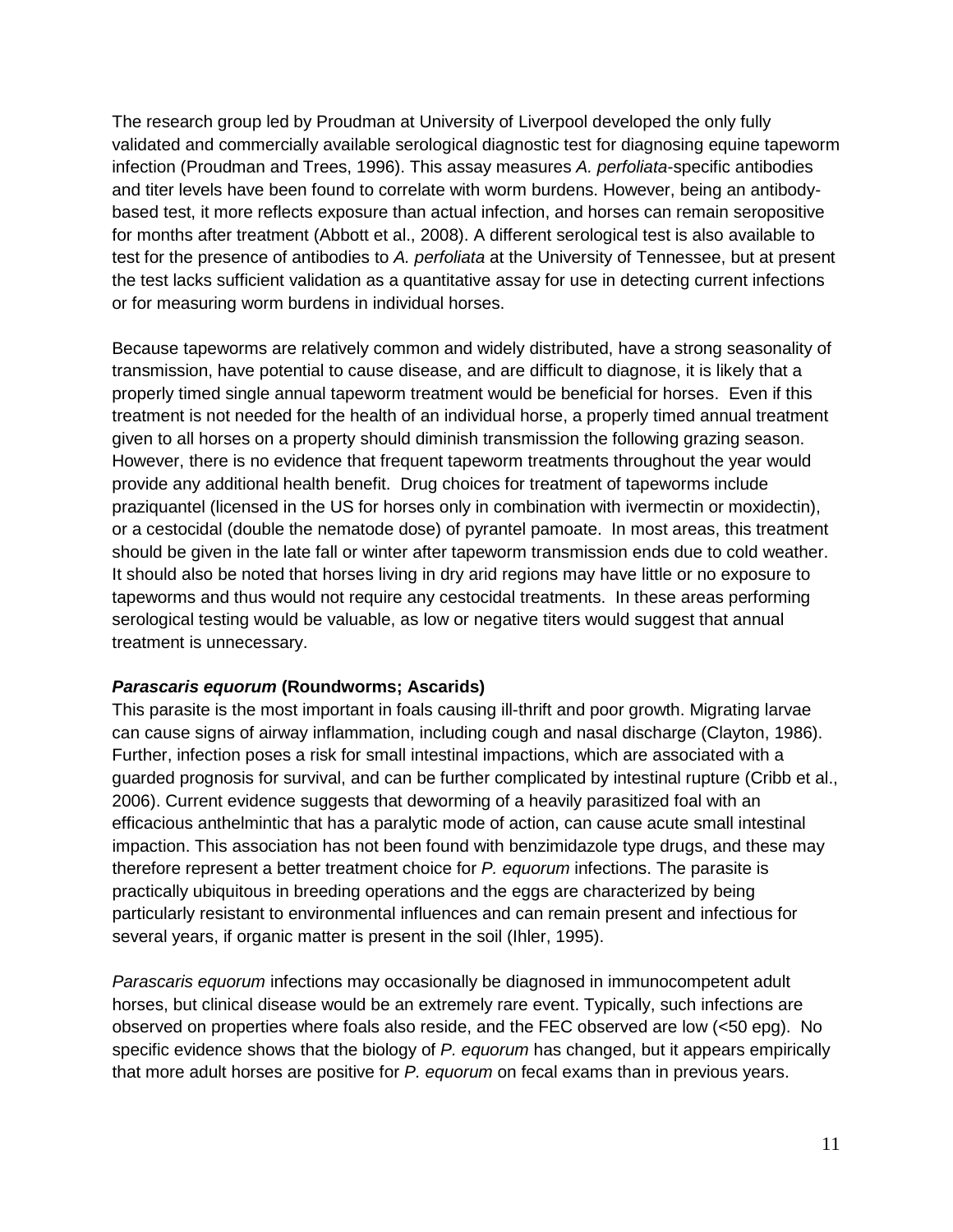The research group led by Proudman at University of Liverpool developed the only fully validated and commercially available serological diagnostic test for diagnosing equine tapeworm infection (Proudman and Trees, 1996). This assay measures *A. perfoliata*-specific antibodies and titer levels have been found to correlate with worm burdens. However, being an antibodybased test, it more reflects exposure than actual infection, and horses can remain seropositive for months after treatment (Abbott et al., 2008). A different serological test is also available to test for the presence of antibodies to *A. perfoliata* at the University of Tennessee, but at present the test lacks sufficient validation as a quantitative assay for use in detecting current infections or for measuring worm burdens in individual horses.

Because tapeworms are relatively common and widely distributed, have a strong seasonality of transmission, have potential to cause disease, and are difficult to diagnose, it is likely that a properly timed single annual tapeworm treatment would be beneficial for horses. Even if this treatment is not needed for the health of an individual horse, a properly timed annual treatment given to all horses on a property should diminish transmission the following grazing season. However, there is no evidence that frequent tapeworm treatments throughout the year would provide any additional health benefit. Drug choices for treatment of tapeworms include praziquantel (licensed in the US for horses only in combination with ivermectin or moxidectin), or a cestocidal (double the nematode dose) of pyrantel pamoate. In most areas, this treatment should be given in the late fall or winter after tapeworm transmission ends due to cold weather. It should also be noted that horses living in dry arid regions may have little or no exposure to tapeworms and thus would not require any cestocidal treatments. In these areas performing serological testing would be valuable, as low or negative titers would suggest that annual treatment is unnecessary.

#### *Parascaris equorum* **(Roundworms; Ascarids)**

This parasite is the most important in foals causing ill-thrift and poor growth. Migrating larvae can cause signs of airway inflammation, including cough and nasal discharge (Clayton, 1986). Further, infection poses a risk for small intestinal impactions, which are associated with a guarded prognosis for survival, and can be further complicated by intestinal rupture (Cribb et al., 2006). Current evidence suggests that deworming of a heavily parasitized foal with an efficacious anthelmintic that has a paralytic mode of action, can cause acute small intestinal impaction. This association has not been found with benzimidazole type drugs, and these may therefore represent a better treatment choice for *P. equorum* infections. The parasite is practically ubiquitous in breeding operations and the eggs are characterized by being particularly resistant to environmental influences and can remain present and infectious for several years, if organic matter is present in the soil (Ihler, 1995).

*Parascaris equorum* infections may occasionally be diagnosed in immunocompetent adult horses, but clinical disease would be an extremely rare event. Typically, such infections are observed on properties where foals also reside, and the FEC observed are low (<50 epg). No specific evidence shows that the biology of *P. equorum* has changed, but it appears empirically that more adult horses are positive for *P. equorum* on fecal exams than in previous years.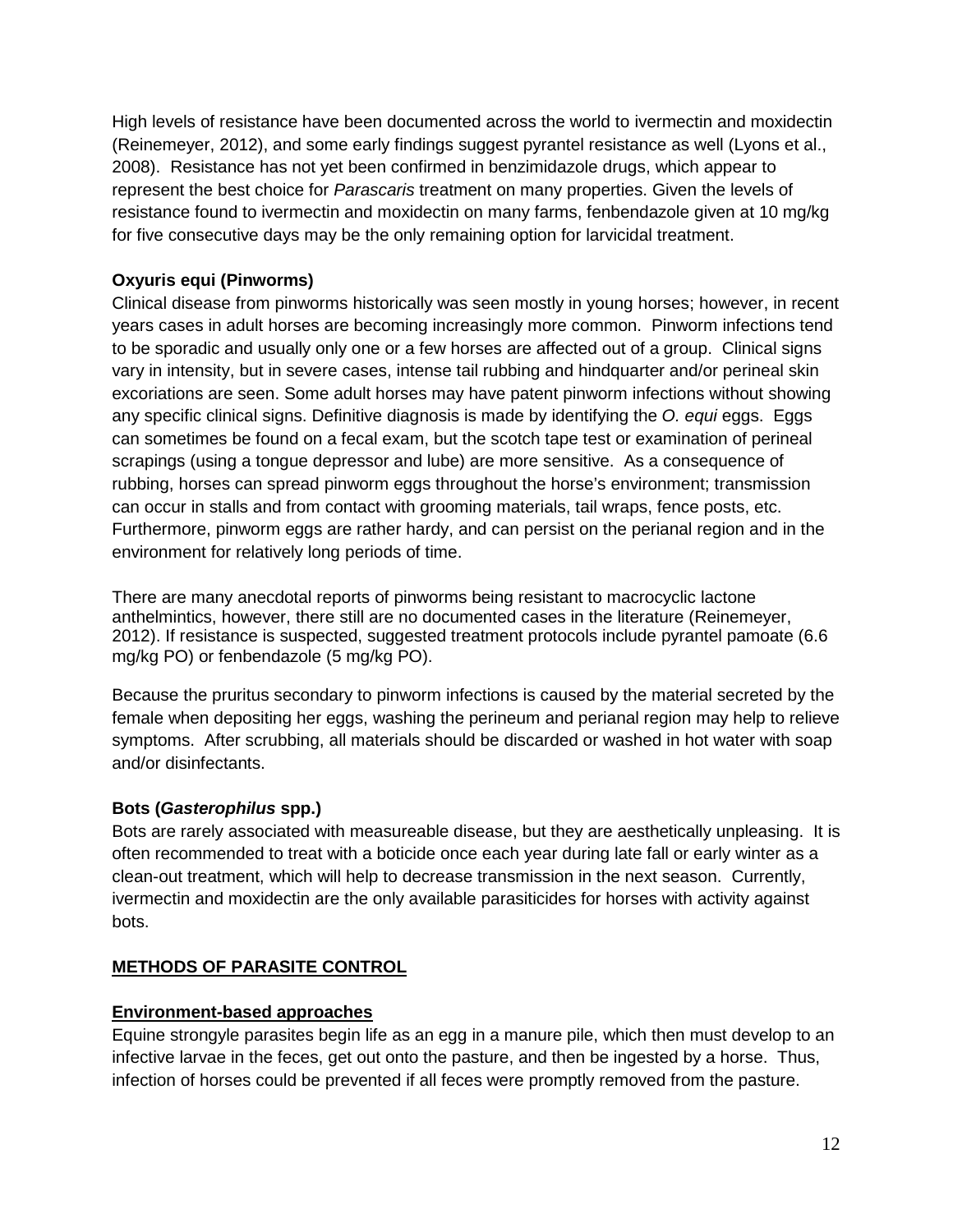High levels of resistance have been documented across the world to ivermectin and moxidectin (Reinemeyer, 2012), and some early findings suggest pyrantel resistance as well (Lyons et al., 2008). Resistance has not yet been confirmed in benzimidazole drugs, which appear to represent the best choice for *Parascaris* treatment on many properties. Given the levels of resistance found to ivermectin and moxidectin on many farms, fenbendazole given at 10 mg/kg for five consecutive days may be the only remaining option for larvicidal treatment.

## **Oxyuris equi (Pinworms)**

Clinical disease from pinworms historically was seen mostly in young horses; however, in recent years cases in adult horses are becoming increasingly more common. Pinworm infections tend to be sporadic and usually only one or a few horses are affected out of a group. Clinical signs vary in intensity, but in severe cases, intense tail rubbing and hindquarter and/or perineal skin excoriations are seen. Some adult horses may have patent pinworm infections without showing any specific clinical signs. Definitive diagnosis is made by identifying the *O. equi* eggs. Eggs can sometimes be found on a fecal exam, but the scotch tape test or examination of perineal scrapings (using a tongue depressor and lube) are more sensitive. As a consequence of rubbing, horses can spread pinworm eggs throughout the horse's environment; transmission can occur in stalls and from contact with grooming materials, tail wraps, fence posts, etc. Furthermore, pinworm eggs are rather hardy, and can persist on the perianal region and in the environment for relatively long periods of time.

There are many anecdotal reports of pinworms being resistant to macrocyclic lactone anthelmintics, however, there still are no documented cases in the literature (Reinemeyer, 2012). If resistance is suspected, suggested treatment protocols include pyrantel pamoate (6.6 mg/kg PO) or fenbendazole (5 mg/kg PO).

Because the pruritus secondary to pinworm infections is caused by the material secreted by the female when depositing her eggs, washing the perineum and perianal region may help to relieve symptoms. After scrubbing, all materials should be discarded or washed in hot water with soap and/or disinfectants.

#### **Bots (***Gasterophilus* **spp.)**

Bots are rarely associated with measureable disease, but they are aesthetically unpleasing. It is often recommended to treat with a boticide once each year during late fall or early winter as a clean-out treatment, which will help to decrease transmission in the next season. Currently, ivermectin and moxidectin are the only available parasiticides for horses with activity against bots.

# **METHODS OF PARASITE CONTROL**

#### **Environment-based approaches**

Equine strongyle parasites begin life as an egg in a manure pile, which then must develop to an infective larvae in the feces, get out onto the pasture, and then be ingested by a horse. Thus, infection of horses could be prevented if all feces were promptly removed from the pasture.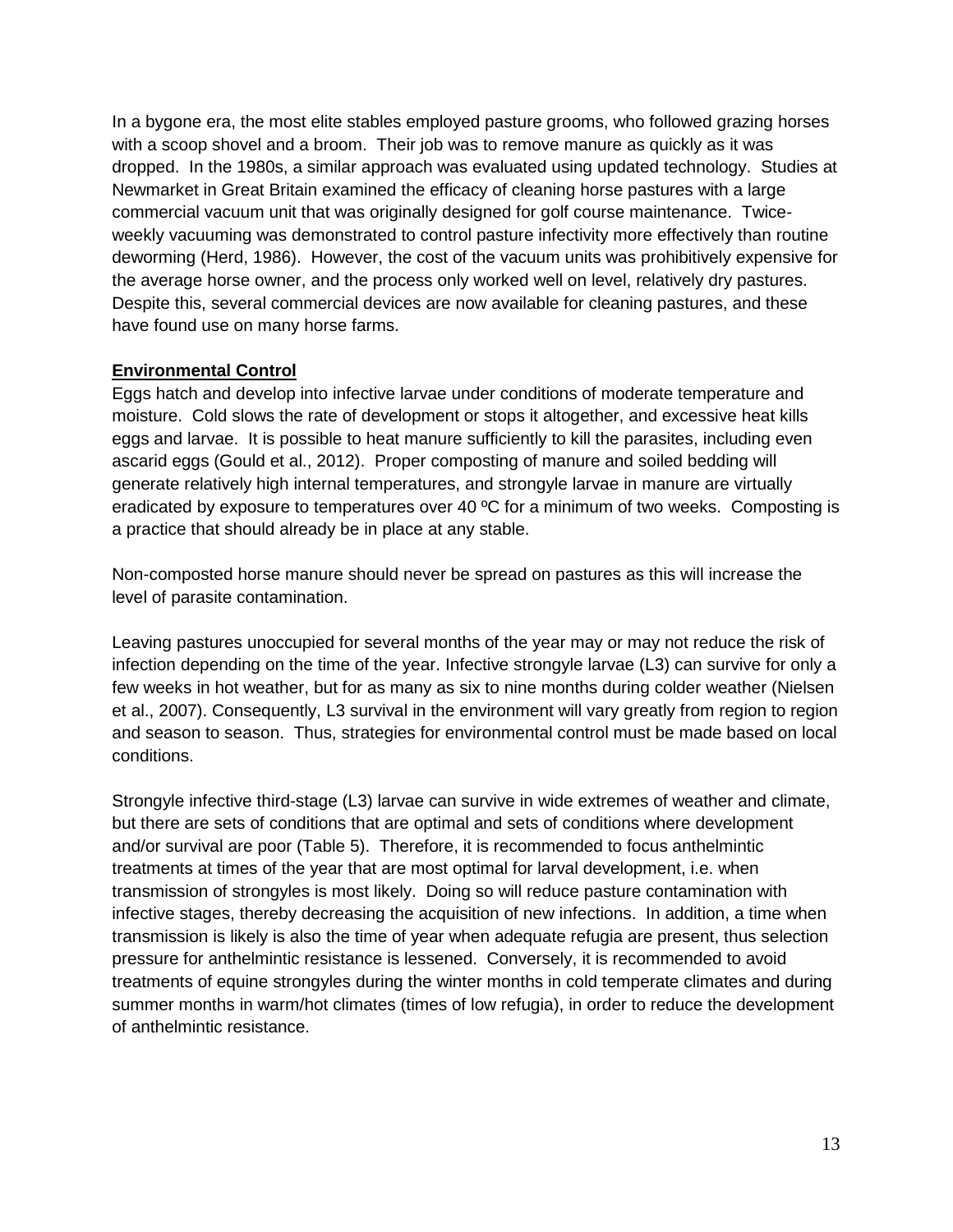In a bygone era, the most elite stables employed pasture grooms, who followed grazing horses with a scoop shovel and a broom. Their job was to remove manure as quickly as it was dropped. In the 1980s, a similar approach was evaluated using updated technology. Studies at Newmarket in Great Britain examined the efficacy of cleaning horse pastures with a large commercial vacuum unit that was originally designed for golf course maintenance. Twiceweekly vacuuming was demonstrated to control pasture infectivity more effectively than routine deworming (Herd, 1986). However, the cost of the vacuum units was prohibitively expensive for the average horse owner, and the process only worked well on level, relatively dry pastures. Despite this, several commercial devices are now available for cleaning pastures, and these have found use on many horse farms.

#### **Environmental Control**

Eggs hatch and develop into infective larvae under conditions of moderate temperature and moisture. Cold slows the rate of development or stops it altogether, and excessive heat kills eggs and larvae. It is possible to heat manure sufficiently to kill the parasites, including even ascarid eggs (Gould et al., 2012). Proper composting of manure and soiled bedding will generate relatively high internal temperatures, and strongyle larvae in manure are virtually eradicated by exposure to temperatures over 40 ºC for a minimum of two weeks. Composting is a practice that should already be in place at any stable.

Non-composted horse manure should never be spread on pastures as this will increase the level of parasite contamination.

Leaving pastures unoccupied for several months of the year may or may not reduce the risk of infection depending on the time of the year. Infective strongyle larvae (L3) can survive for only a few weeks in hot weather, but for as many as six to nine months during colder weather (Nielsen et al., 2007). Consequently, L3 survival in the environment will vary greatly from region to region and season to season. Thus, strategies for environmental control must be made based on local conditions.

Strongyle infective third-stage (L3) larvae can survive in wide extremes of weather and climate, but there are sets of conditions that are optimal and sets of conditions where development and/or survival are poor (Table 5). Therefore, it is recommended to focus anthelmintic treatments at times of the year that are most optimal for larval development, i.e. when transmission of strongyles is most likely. Doing so will reduce pasture contamination with infective stages, thereby decreasing the acquisition of new infections. In addition, a time when transmission is likely is also the time of year when adequate refugia are present, thus selection pressure for anthelmintic resistance is lessened. Conversely, it is recommended to avoid treatments of equine strongyles during the winter months in cold temperate climates and during summer months in warm/hot climates (times of low refugia), in order to reduce the development of anthelmintic resistance.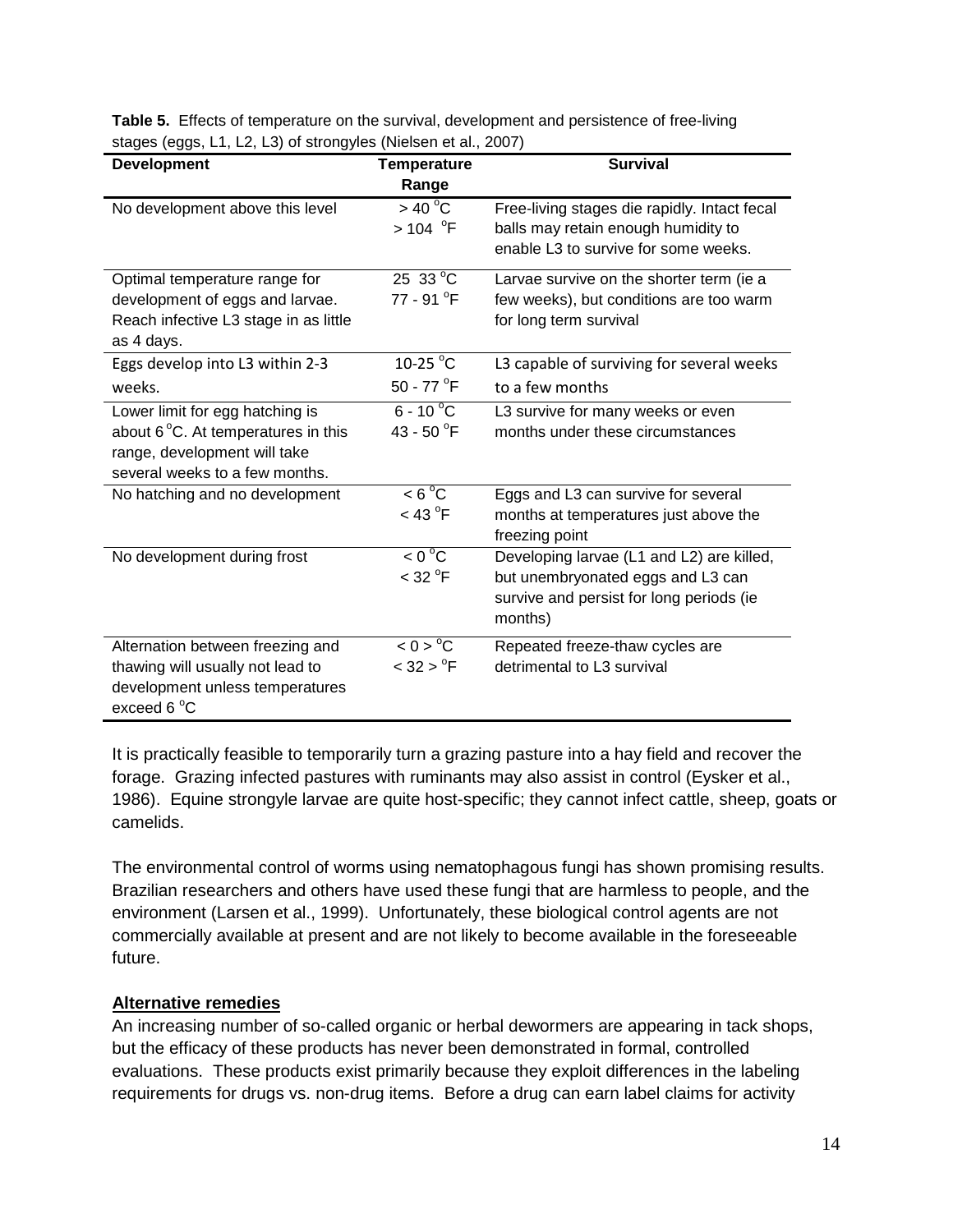| <b>Development</b>                                                                                                                       | <b>Temperature</b><br>Range                          | <b>Survival</b>                                                                                                                       |
|------------------------------------------------------------------------------------------------------------------------------------------|------------------------------------------------------|---------------------------------------------------------------------------------------------------------------------------------------|
| No development above this level                                                                                                          | $>$ 40 °C<br>> 104 °F                                | Free-living stages die rapidly. Intact fecal<br>balls may retain enough humidity to<br>enable L3 to survive for some weeks.           |
| Optimal temperature range for<br>development of eggs and larvae.<br>Reach infective L3 stage in as little<br>as 4 days.                  | $25\,33\,^{\circ}\text{C}$<br>77 - 91 <sup>°</sup> F | Larvae survive on the shorter term (ie a<br>few weeks), but conditions are too warm<br>for long term survival                         |
| Eggs develop into L3 within 2-3<br>weeks.                                                                                                | 10-25 °C<br>50 - 77 $\mathrm{^{\circ}F}$             | L3 capable of surviving for several weeks<br>to a few months                                                                          |
| Lower limit for egg hatching is<br>about 6 °C. At temperatures in this<br>range, development will take<br>several weeks to a few months. | $6 - 10^{\circ}$ C<br>43 - 50 $\degree$ F            | L3 survive for many weeks or even<br>months under these circumstances                                                                 |
| No hatching and no development                                                                                                           | $< 6^{\circ}$ C<br>$<$ 43 $^{\circ}$ F               | Eggs and L3 can survive for several<br>months at temperatures just above the<br>freezing point                                        |
| No development during frost                                                                                                              | $< 0^{\circ}$ C<br>$<$ 32 $^{\circ}$ F               | Developing larvae (L1 and L2) are killed,<br>but unembryonated eggs and L3 can<br>survive and persist for long periods (ie<br>months) |
| Alternation between freezing and<br>thawing will usually not lead to<br>development unless temperatures<br>exceed $6^{\circ}$ C          | < 0 > C<br>$< 32 > {}^{o}F$                          | Repeated freeze-thaw cycles are<br>detrimental to L3 survival                                                                         |

**Table 5.** Effects of temperature on the survival, development and persistence of free-living stages (eggs, L1, L2, L3) of strongyles (Nielsen et al., 2007)

It is practically feasible to temporarily turn a grazing pasture into a hay field and recover the forage. Grazing infected pastures with ruminants may also assist in control (Eysker et al., 1986). Equine strongyle larvae are quite host-specific; they cannot infect cattle, sheep, goats or camelids.

The environmental control of worms using nematophagous fungi has shown promising results. Brazilian researchers and others have used these fungi that are harmless to people, and the environment (Larsen et al., 1999). Unfortunately, these biological control agents are not commercially available at present and are not likely to become available in the foreseeable future.

#### **Alternative remedies**

An increasing number of so-called organic or herbal dewormers are appearing in tack shops, but the efficacy of these products has never been demonstrated in formal, controlled evaluations. These products exist primarily because they exploit differences in the labeling requirements for drugs vs. non-drug items. Before a drug can earn label claims for activity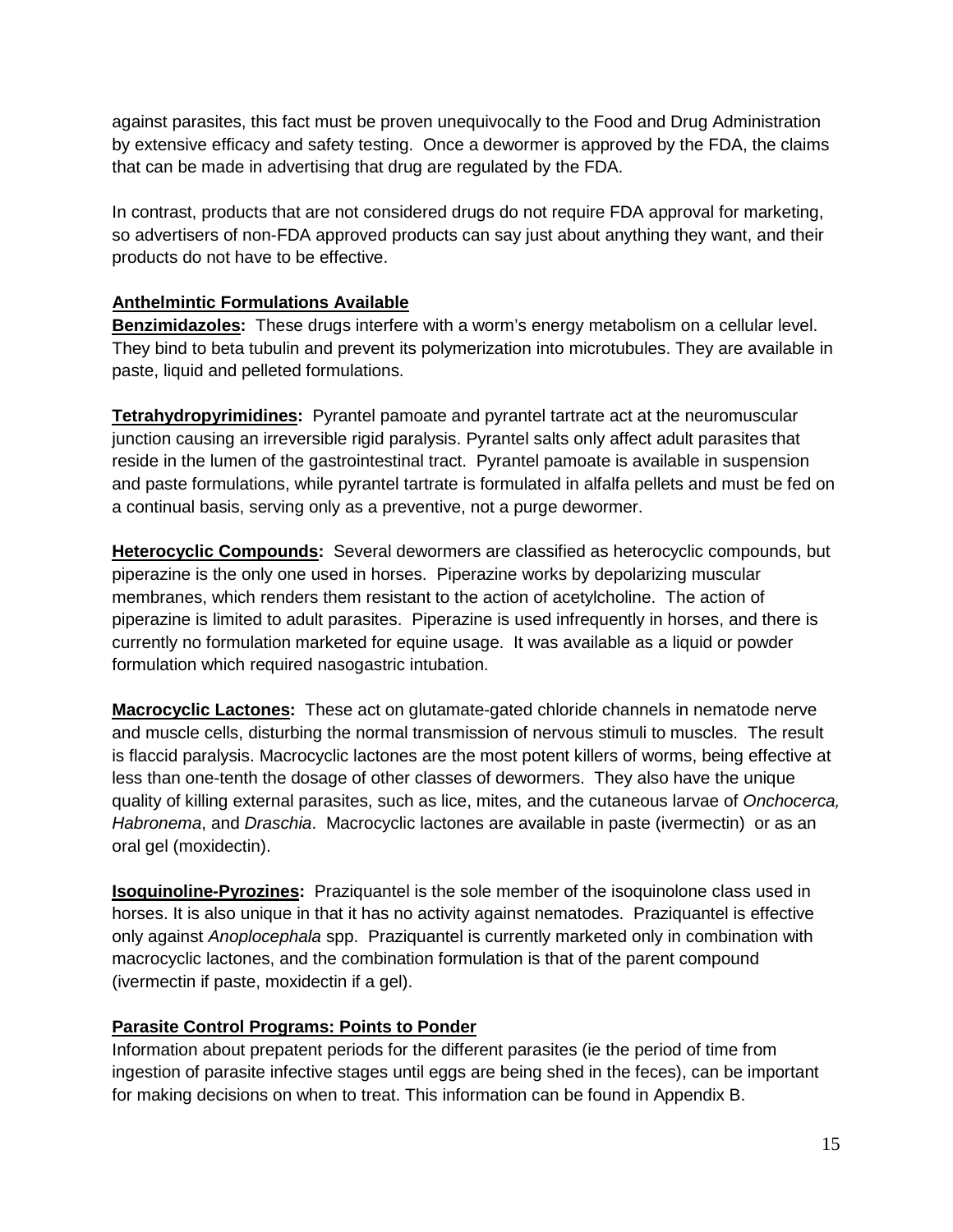against parasites, this fact must be proven unequivocally to the Food and Drug Administration by extensive efficacy and safety testing. Once a dewormer is approved by the FDA, the claims that can be made in advertising that drug are regulated by the FDA.

In contrast, products that are not considered drugs do not require FDA approval for marketing, so advertisers of non-FDA approved products can say just about anything they want, and their products do not have to be effective.

### **Anthelmintic Formulations Available**

**Benzimidazoles:** These drugs interfere with a worm's energy metabolism on a cellular level. They bind to beta tubulin and prevent its polymerization into microtubules. They are available in paste, liquid and pelleted formulations.

**Tetrahydropyrimidines:** Pyrantel pamoate and pyrantel tartrate act at the neuromuscular junction causing an irreversible rigid paralysis. Pyrantel salts only affect adult parasites that reside in the lumen of the gastrointestinal tract. Pyrantel pamoate is available in suspension and paste formulations, while pyrantel tartrate is formulated in alfalfa pellets and must be fed on a continual basis, serving only as a preventive, not a purge dewormer.

**Heterocyclic Compounds:** Several dewormers are classified as heterocyclic compounds, but piperazine is the only one used in horses. Piperazine works by depolarizing muscular membranes, which renders them resistant to the action of acetylcholine. The action of piperazine is limited to adult parasites. Piperazine is used infrequently in horses, and there is currently no formulation marketed for equine usage. It was available as a liquid or powder formulation which required nasogastric intubation.

**Macrocyclic Lactones:** These act on glutamate-gated chloride channels in nematode nerve and muscle cells, disturbing the normal transmission of nervous stimuli to muscles. The result is flaccid paralysis. Macrocyclic lactones are the most potent killers of worms, being effective at less than one-tenth the dosage of other classes of dewormers. They also have the unique quality of killing external parasites, such as lice, mites, and the cutaneous larvae of *Onchocerca, Habronema*, and *Draschia*. Macrocyclic lactones are available in paste (ivermectin) or as an oral gel (moxidectin).

**Isoquinoline-Pyrozines:** Praziquantel is the sole member of the isoquinolone class used in horses. It is also unique in that it has no activity against nematodes. Praziquantel is effective only against *Anoplocephala* spp. Praziquantel is currently marketed only in combination with macrocyclic lactones, and the combination formulation is that of the parent compound (ivermectin if paste, moxidectin if a gel).

# **Parasite Control Programs: Points to Ponder**

Information about prepatent periods for the different parasites (ie the period of time from ingestion of parasite infective stages until eggs are being shed in the feces), can be important for making decisions on when to treat. This information can be found in Appendix B.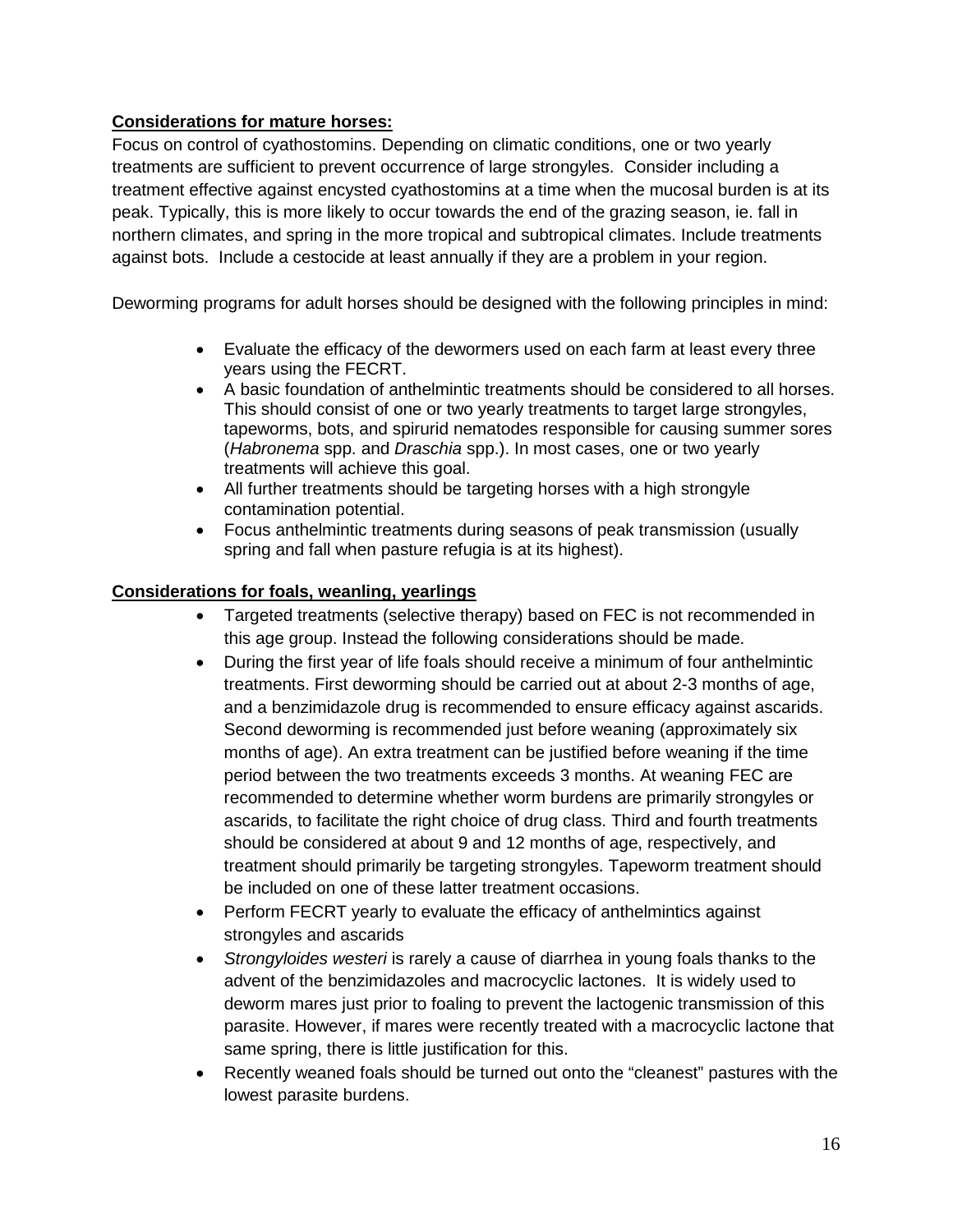#### **Considerations for mature horses:**

Focus on control of cyathostomins. Depending on climatic conditions, one or two yearly treatments are sufficient to prevent occurrence of large strongyles. Consider including a treatment effective against encysted cyathostomins at a time when the mucosal burden is at its peak. Typically, this is more likely to occur towards the end of the grazing season, ie. fall in northern climates, and spring in the more tropical and subtropical climates. Include treatments against bots. Include a cestocide at least annually if they are a problem in your region.

Deworming programs for adult horses should be designed with the following principles in mind:

- Evaluate the efficacy of the dewormers used on each farm at least every three years using the FECRT.
- A basic foundation of anthelmintic treatments should be considered to all horses. This should consist of one or two yearly treatments to target large strongyles, tapeworms, bots, and spirurid nematodes responsible for causing summer sores (*Habronema* spp. and *Draschia* spp.). In most cases, one or two yearly treatments will achieve this goal.
- All further treatments should be targeting horses with a high strongyle contamination potential.
- Focus anthelmintic treatments during seasons of peak transmission (usually spring and fall when pasture refugia is at its highest).

#### **Considerations for foals, weanling, yearlings**

- Targeted treatments (selective therapy) based on FEC is not recommended in this age group. Instead the following considerations should be made.
- During the first year of life foals should receive a minimum of four anthelmintic treatments. First deworming should be carried out at about 2-3 months of age, and a benzimidazole drug is recommended to ensure efficacy against ascarids. Second deworming is recommended just before weaning (approximately six months of age). An extra treatment can be justified before weaning if the time period between the two treatments exceeds 3 months. At weaning FEC are recommended to determine whether worm burdens are primarily strongyles or ascarids, to facilitate the right choice of drug class. Third and fourth treatments should be considered at about 9 and 12 months of age, respectively, and treatment should primarily be targeting strongyles. Tapeworm treatment should be included on one of these latter treatment occasions.
- Perform FECRT yearly to evaluate the efficacy of anthelmintics against strongyles and ascarids
- *Strongyloides westeri* is rarely a cause of diarrhea in young foals thanks to the advent of the benzimidazoles and macrocyclic lactones. It is widely used to deworm mares just prior to foaling to prevent the lactogenic transmission of this parasite. However, if mares were recently treated with a macrocyclic lactone that same spring, there is little justification for this.
- Recently weaned foals should be turned out onto the "cleanest" pastures with the lowest parasite burdens.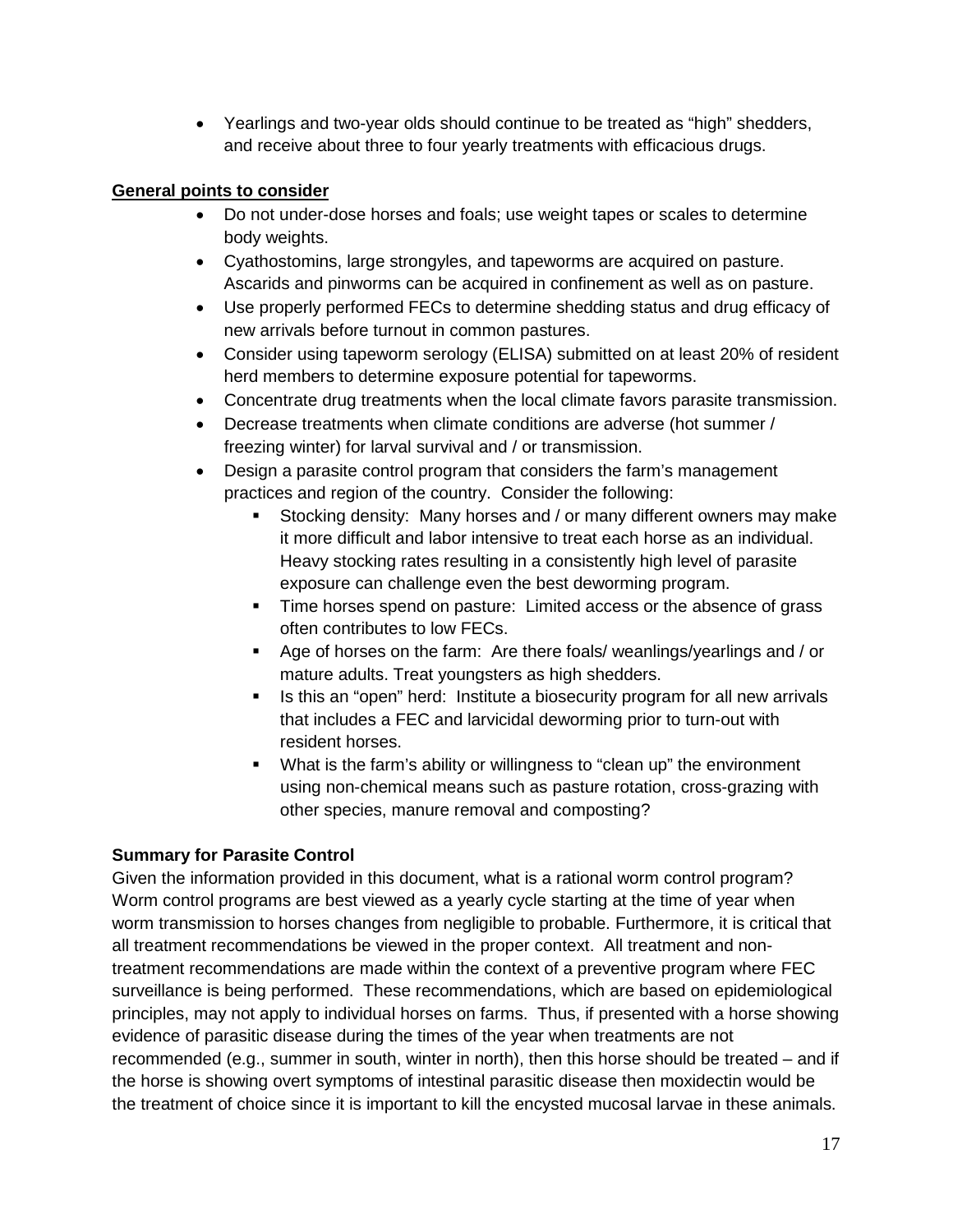• Yearlings and two-year olds should continue to be treated as "high" shedders, and receive about three to four yearly treatments with efficacious drugs.

## **General points to consider**

- Do not under-dose horses and foals; use weight tapes or scales to determine body weights.
- Cyathostomins, large strongyles, and tapeworms are acquired on pasture. Ascarids and pinworms can be acquired in confinement as well as on pasture.
- Use properly performed FECs to determine shedding status and drug efficacy of new arrivals before turnout in common pastures.
- Consider using tapeworm serology (ELISA) submitted on at least 20% of resident herd members to determine exposure potential for tapeworms.
- Concentrate drug treatments when the local climate favors parasite transmission.
- Decrease treatments when climate conditions are adverse (hot summer / freezing winter) for larval survival and / or transmission.
- Design a parasite control program that considers the farm's management practices and region of the country. Consider the following:
	- Stocking density: Many horses and / or many different owners may make it more difficult and labor intensive to treat each horse as an individual. Heavy stocking rates resulting in a consistently high level of parasite exposure can challenge even the best deworming program.
	- Time horses spend on pasture: Limited access or the absence of grass often contributes to low FECs.
	- Age of horses on the farm: Are there foals/ weanlings/yearlings and / or mature adults. Treat youngsters as high shedders.
	- Is this an "open" herd: Institute a biosecurity program for all new arrivals that includes a FEC and larvicidal deworming prior to turn-out with resident horses.
	- What is the farm's ability or willingness to "clean up" the environment using non-chemical means such as pasture rotation, cross-grazing with other species, manure removal and composting?

# **Summary for Parasite Control**

Given the information provided in this document, what is a rational worm control program? Worm control programs are best viewed as a yearly cycle starting at the time of year when worm transmission to horses changes from negligible to probable. Furthermore, it is critical that all treatment recommendations be viewed in the proper context. All treatment and nontreatment recommendations are made within the context of a preventive program where FEC surveillance is being performed. These recommendations, which are based on epidemiological principles, may not apply to individual horses on farms. Thus, if presented with a horse showing evidence of parasitic disease during the times of the year when treatments are not recommended (e.g., summer in south, winter in north), then this horse should be treated – and if the horse is showing overt symptoms of intestinal parasitic disease then moxidectin would be the treatment of choice since it is important to kill the encysted mucosal larvae in these animals.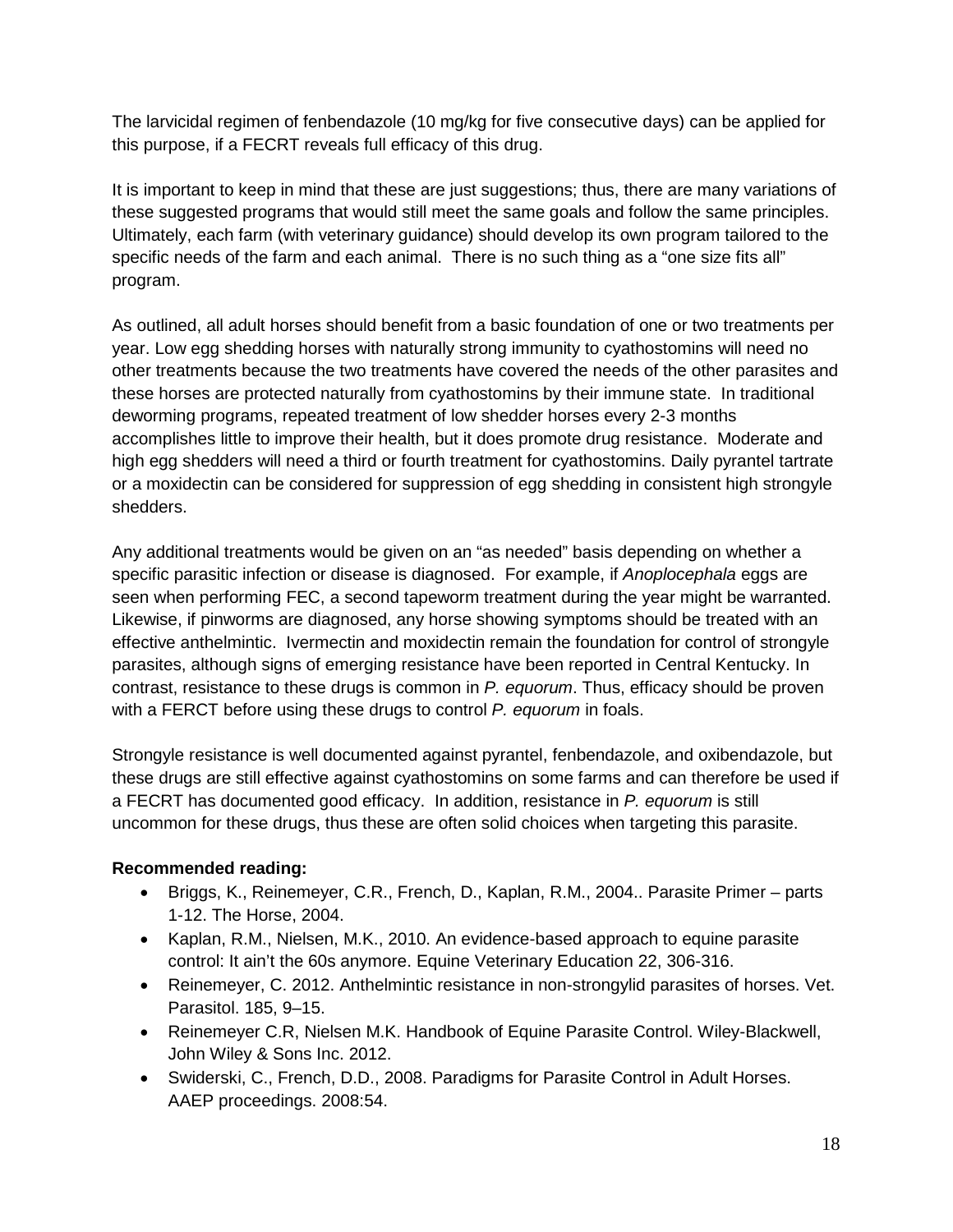The larvicidal regimen of fenbendazole (10 mg/kg for five consecutive days) can be applied for this purpose, if a FECRT reveals full efficacy of this drug.

It is important to keep in mind that these are just suggestions; thus, there are many variations of these suggested programs that would still meet the same goals and follow the same principles. Ultimately, each farm (with veterinary guidance) should develop its own program tailored to the specific needs of the farm and each animal. There is no such thing as a "one size fits all" program.

As outlined, all adult horses should benefit from a basic foundation of one or two treatments per year. Low egg shedding horses with naturally strong immunity to cyathostomins will need no other treatments because the two treatments have covered the needs of the other parasites and these horses are protected naturally from cyathostomins by their immune state. In traditional deworming programs, repeated treatment of low shedder horses every 2-3 months accomplishes little to improve their health, but it does promote drug resistance. Moderate and high egg shedders will need a third or fourth treatment for cyathostomins. Daily pyrantel tartrate or a moxidectin can be considered for suppression of egg shedding in consistent high strongyle shedders.

Any additional treatments would be given on an "as needed" basis depending on whether a specific parasitic infection or disease is diagnosed. For example, if *Anoplocephala* eggs are seen when performing FEC, a second tapeworm treatment during the year might be warranted. Likewise, if pinworms are diagnosed, any horse showing symptoms should be treated with an effective anthelmintic. Ivermectin and moxidectin remain the foundation for control of strongyle parasites, although signs of emerging resistance have been reported in Central Kentucky. In contrast, resistance to these drugs is common in *P. equorum*. Thus, efficacy should be proven with a FERCT before using these drugs to control *P. equorum* in foals.

Strongyle resistance is well documented against pyrantel, fenbendazole, and oxibendazole, but these drugs are still effective against cyathostomins on some farms and can therefore be used if a FECRT has documented good efficacy. In addition, resistance in *P. equorum* is still uncommon for these drugs, thus these are often solid choices when targeting this parasite.

# **Recommended reading:**

- Briggs, K., Reinemeyer, C.R., French, D., Kaplan, R.M., 2004.. Parasite Primer parts 1-12. The Horse, 2004.
- Kaplan, R.M., Nielsen, M.K., 2010. An evidence-based approach to equine parasite control: It ain't the 60s anymore. Equine Veterinary Education 22, 306-316.
- Reinemeyer, C. 2012. Anthelmintic resistance in non-strongylid parasites of horses. Vet. Parasitol. 185, 9–15.
- Reinemeyer C.R, Nielsen M.K. Handbook of Equine Parasite Control. Wiley-Blackwell, John Wiley & Sons Inc. 2012.
- Swiderski, C., French, D.D., 2008. Paradigms for Parasite Control in Adult Horses. AAEP proceedings. 2008:54.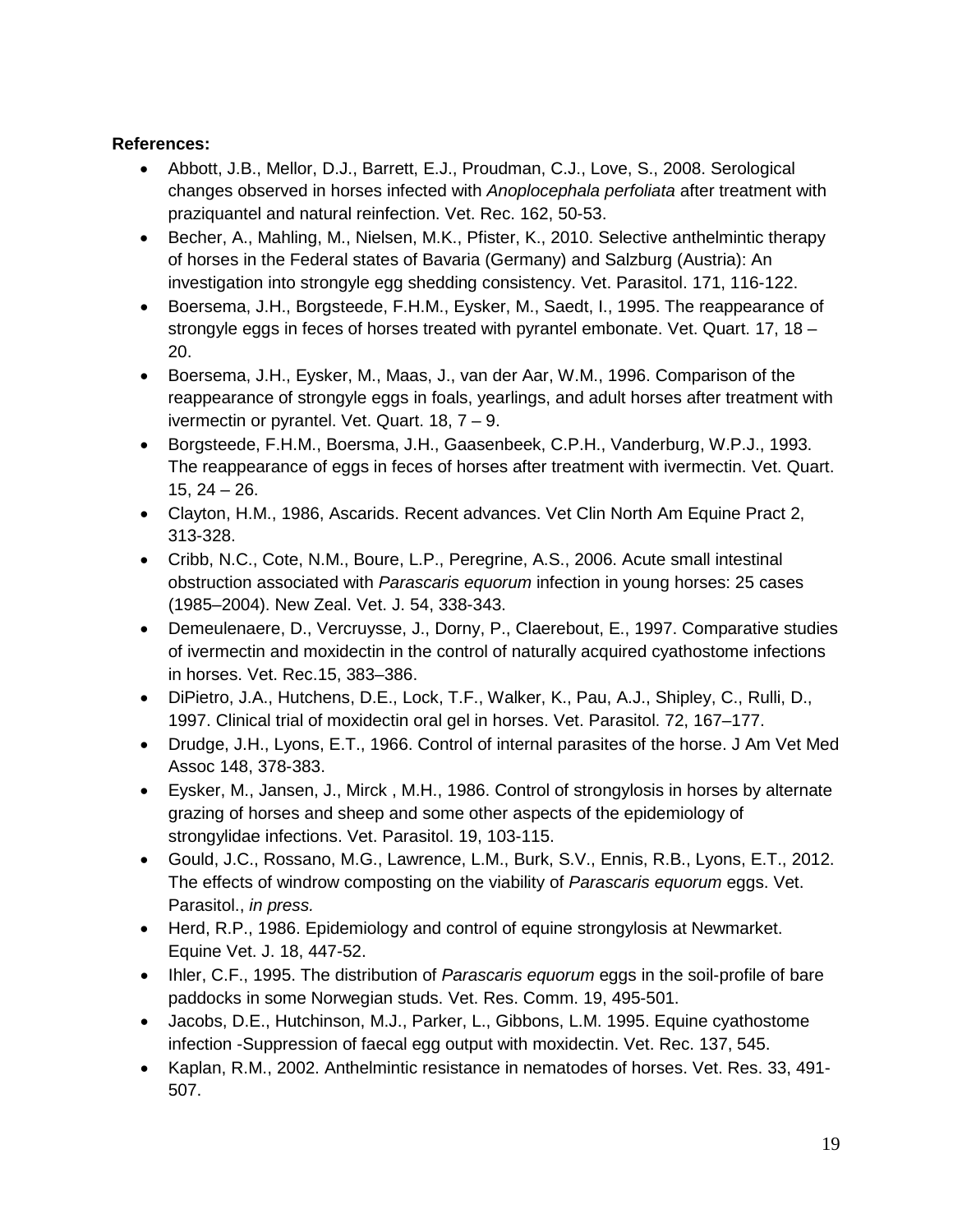## **References:**

- Abbott, J.B., Mellor, D.J., Barrett, E.J., Proudman, C.J., Love, S., 2008. Serological changes observed in horses infected with *Anoplocephala perfoliata* after treatment with praziquantel and natural reinfection. Vet. Rec. 162, 50-53.
- Becher, A., Mahling, M., Nielsen, M.K., Pfister, K., 2010. Selective anthelmintic therapy of horses in the Federal states of Bavaria (Germany) and Salzburg (Austria): An investigation into strongyle egg shedding consistency. Vet. Parasitol. 171, 116-122.
- Boersema, J.H., Borgsteede, F.H.M., Eysker, M., Saedt, I., 1995. The reappearance of strongyle eggs in feces of horses treated with pyrantel embonate. Vet. Quart. 17, 18 – 20.
- Boersema, J.H., Eysker, M., Maas, J., van der Aar, W.M., 1996. Comparison of the reappearance of strongyle eggs in foals, yearlings, and adult horses after treatment with ivermectin or pyrantel. Vet. Quart. 18, 7 – 9.
- Borgsteede, F.H.M., Boersma, J.H., Gaasenbeek, C.P.H., Vanderburg, W.P.J., 1993. The reappearance of eggs in feces of horses after treatment with ivermectin. Vet. Quart. 15, 24 – 26.
- Clayton, H.M., 1986, Ascarids. Recent advances. Vet Clin North Am Equine Pract 2, 313-328.
- Cribb, N.C., Cote, N.M., Boure, L.P., Peregrine, A.S., 2006. Acute small intestinal obstruction associated with *Parascaris equorum* infection in young horses: 25 cases (1985–2004). New Zeal. Vet. J. 54, 338-343.
- Demeulenaere, D., Vercruysse, J., Dorny, P., Claerebout, E., 1997. Comparative studies of ivermectin and moxidectin in the control of naturally acquired cyathostome infections in horses. Vet. Rec.15, 383–386.
- DiPietro, J.A., Hutchens, D.E., Lock, T.F., Walker, K., Pau, A.J., Shipley, C., Rulli, D., 1997. Clinical trial of moxidectin oral gel in horses. Vet. Parasitol. 72, 167–177.
- Drudge, J.H., Lyons, E.T., 1966. Control of internal parasites of the horse. J Am Vet Med Assoc 148, 378-383.
- Eysker, M., Jansen, J., Mirck , M.H., 1986. Control of strongylosis in horses by alternate grazing of horses and sheep and some other aspects of the epidemiology of strongylidae infections. Vet. Parasitol. 19, 103-115.
- Gould, J.C., Rossano, M.G., Lawrence, L.M., Burk, S.V., Ennis, R.B., Lyons, E.T., 2012. The effects of windrow composting on the viability of *Parascaris equorum* eggs. Vet. Parasitol., *in press.*
- Herd, R.P., 1986. Epidemiology and control of equine strongylosis at Newmarket. Equine Vet. J. 18, 447-52.
- Ihler, C.F., 1995. The distribution of *Parascaris equorum* eggs in the soil-profile of bare paddocks in some Norwegian studs. Vet. Res. Comm. 19, 495-501.
- Jacobs, D.E., Hutchinson, M.J., Parker, L., Gibbons, L.M. 1995. Equine cyathostome infection -Suppression of faecal egg output with moxidectin. Vet. Rec. 137, 545.
- Kaplan, R.M., 2002. Anthelmintic resistance in nematodes of horses. Vet. Res. 33, 491- 507.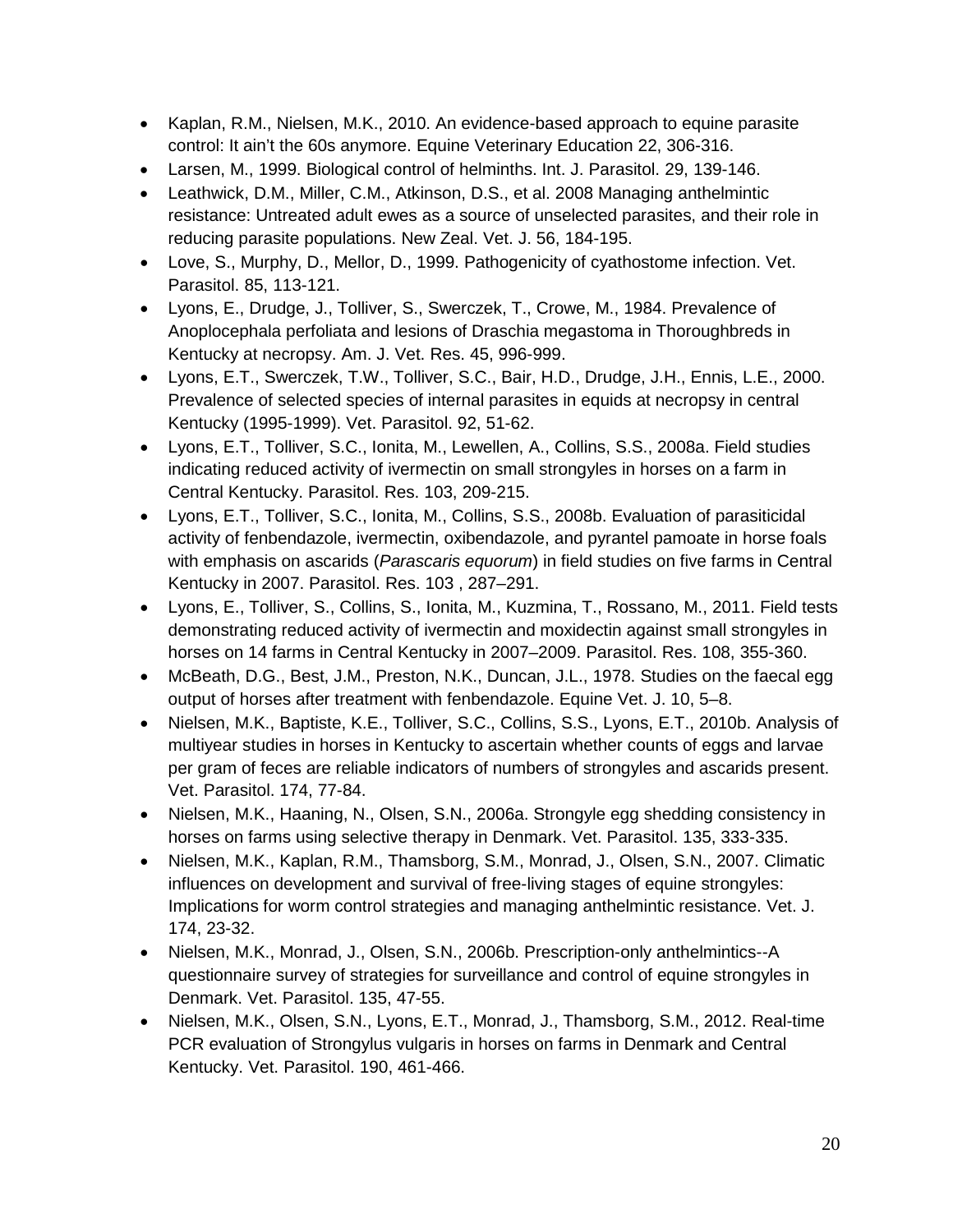- Kaplan, R.M., Nielsen, M.K., 2010. An evidence-based approach to equine parasite control: It ain't the 60s anymore. Equine Veterinary Education 22, 306-316.
- Larsen, M., 1999. Biological control of helminths. Int. J. Parasitol. 29, 139-146.
- Leathwick, D.M., Miller, C.M., Atkinson, D.S., et al. 2008 Managing anthelmintic resistance: Untreated adult ewes as a source of unselected parasites, and their role in reducing parasite populations. New Zeal. Vet. J. 56, 184-195.
- Love, S., Murphy, D., Mellor, D., 1999. Pathogenicity of cyathostome infection. Vet. Parasitol. 85, 113-121.
- Lyons, E., Drudge, J., Tolliver, S., Swerczek, T., Crowe, M., 1984. Prevalence of Anoplocephala perfoliata and lesions of Draschia megastoma in Thoroughbreds in Kentucky at necropsy. Am. J. Vet. Res. 45, 996-999.
- Lyons, E.T., Swerczek, T.W., Tolliver, S.C., Bair, H.D., Drudge, J.H., Ennis, L.E., 2000. Prevalence of selected species of internal parasites in equids at necropsy in central Kentucky (1995-1999). Vet. Parasitol. 92, 51-62.
- Lyons, E.T., Tolliver, S.C., Ionita, M., Lewellen, A., Collins, S.S., 2008a. Field studies indicating reduced activity of ivermectin on small strongyles in horses on a farm in Central Kentucky. Parasitol. Res. 103, 209-215.
- Lyons, E.T., Tolliver, S.C., Ionita, M., Collins, S.S., 2008b. Evaluation of parasiticidal activity of fenbendazole, ivermectin, oxibendazole, and pyrantel pamoate in horse foals with emphasis on ascarids (*Parascaris equorum*) in field studies on five farms in Central Kentucky in 2007. Parasitol. Res. 103 , 287–291.
- Lyons, E., Tolliver, S., Collins, S., Ionita, M., Kuzmina, T., Rossano, M., 2011. Field tests demonstrating reduced activity of ivermectin and moxidectin against small strongyles in horses on 14 farms in Central Kentucky in 2007–2009. Parasitol. Res. 108, 355-360.
- McBeath, D.G., Best, J.M., Preston, N.K., Duncan, J.L., 1978. Studies on the faecal egg output of horses after treatment with fenbendazole. Equine Vet. J. 10, 5–8.
- Nielsen, M.K., Baptiste, K.E., Tolliver, S.C., Collins, S.S., Lyons, E.T., 2010b. Analysis of multiyear studies in horses in Kentucky to ascertain whether counts of eggs and larvae per gram of feces are reliable indicators of numbers of strongyles and ascarids present. Vet. Parasitol. 174, 77-84.
- Nielsen, M.K., Haaning, N., Olsen, S.N., 2006a. Strongyle egg shedding consistency in horses on farms using selective therapy in Denmark. Vet. Parasitol. 135, 333-335.
- Nielsen, M.K., Kaplan, R.M., Thamsborg, S.M., Monrad, J., Olsen, S.N., 2007. Climatic influences on development and survival of free-living stages of equine strongyles: Implications for worm control strategies and managing anthelmintic resistance. Vet. J. 174, 23-32.
- Nielsen, M.K., Monrad, J., Olsen, S.N., 2006b. Prescription-only anthelmintics--A questionnaire survey of strategies for surveillance and control of equine strongyles in Denmark. Vet. Parasitol. 135, 47-55.
- Nielsen, M.K., Olsen, S.N., Lyons, E.T., Monrad, J., Thamsborg, S.M., 2012. Real-time PCR evaluation of Strongylus vulgaris in horses on farms in Denmark and Central Kentucky. Vet. Parasitol. 190, 461-466.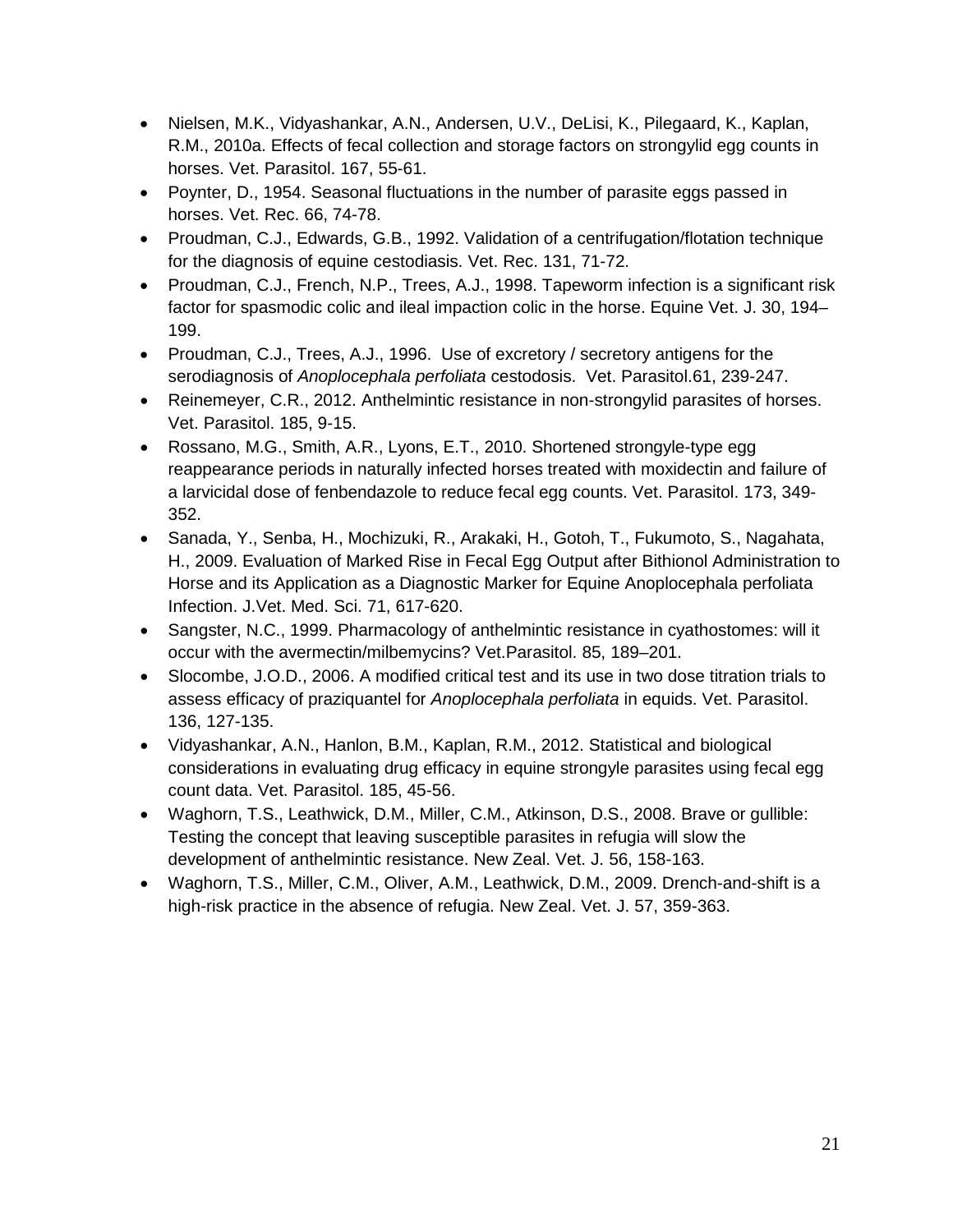- Nielsen, M.K., Vidyashankar, A.N., Andersen, U.V., DeLisi, K., Pilegaard, K., Kaplan, R.M., 2010a. Effects of fecal collection and storage factors on strongylid egg counts in horses. Vet. Parasitol. 167, 55-61.
- Poynter, D., 1954. Seasonal fluctuations in the number of parasite eggs passed in horses. Vet. Rec. 66, 74-78.
- Proudman, C.J., Edwards, G.B., 1992. Validation of a centrifugation/flotation technique for the diagnosis of equine cestodiasis. Vet. Rec. 131, 71-72.
- Proudman, C.J., French, N.P., Trees, A.J., 1998. Tapeworm infection is a significant risk factor for spasmodic colic and ileal impaction colic in the horse. Equine Vet. J. 30, 194– 199.
- Proudman, C.J., Trees, A.J., 1996. Use of excretory / secretory antigens for the serodiagnosis of *Anoplocephala perfoliata* cestodosis. Vet. Parasitol.61, 239-247.
- Reinemeyer, C.R., 2012. Anthelmintic resistance in non-strongylid parasites of horses. Vet. Parasitol. 185, 9-15.
- Rossano, M.G., Smith, A.R., Lyons, E.T., 2010. Shortened strongyle-type egg reappearance periods in naturally infected horses treated with moxidectin and failure of a larvicidal dose of fenbendazole to reduce fecal egg counts. Vet. Parasitol. 173, 349- 352.
- Sanada, Y., Senba, H., Mochizuki, R., Arakaki, H., Gotoh, T., Fukumoto, S., Nagahata, H., 2009. Evaluation of Marked Rise in Fecal Egg Output after Bithionol Administration to Horse and its Application as a Diagnostic Marker for Equine Anoplocephala perfoliata Infection. J.Vet. Med. Sci. 71, 617-620.
- Sangster, N.C., 1999. Pharmacology of anthelmintic resistance in cyathostomes: will it occur with the avermectin/milbemycins? Vet.Parasitol. 85, 189–201.
- Slocombe, J.O.D., 2006. A modified critical test and its use in two dose titration trials to assess efficacy of praziquantel for *Anoplocephala perfoliata* in equids. Vet. Parasitol. 136, 127-135.
- Vidyashankar, A.N., Hanlon, B.M., Kaplan, R.M., 2012. Statistical and biological considerations in evaluating drug efficacy in equine strongyle parasites using fecal egg count data. Vet. Parasitol. 185, 45-56.
- Waghorn, T.S., Leathwick, D.M., Miller, C.M., Atkinson, D.S., 2008. Brave or gullible: Testing the concept that leaving susceptible parasites in refugia will slow the development of anthelmintic resistance. New Zeal. Vet. J. 56, 158-163.
- Waghorn, T.S., Miller, C.M., Oliver, A.M., Leathwick, D.M., 2009. Drench-and-shift is a high-risk practice in the absence of refugia. New Zeal. Vet. J. 57, 359-363.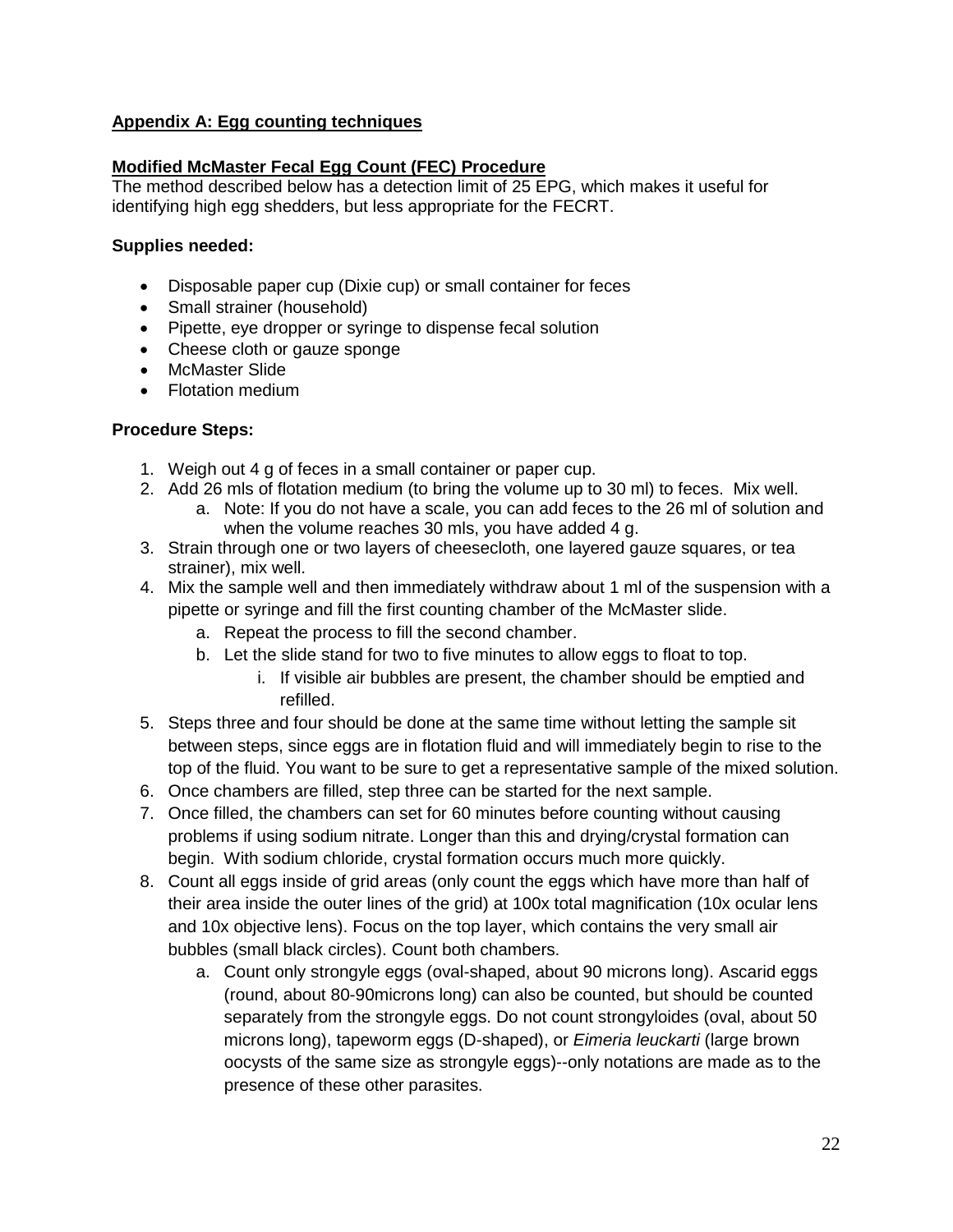## **Appendix A: Egg counting techniques**

#### **Modified McMaster Fecal Egg Count (FEC) Procedure**

The method described below has a detection limit of 25 EPG, which makes it useful for identifying high egg shedders, but less appropriate for the FECRT.

#### **Supplies needed:**

- Disposable paper cup (Dixie cup) or small container for feces
- Small strainer (household)
- Pipette, eye dropper or syringe to dispense fecal solution
- Cheese cloth or gauze sponge
- McMaster Slide
- Flotation medium

#### **Procedure Steps:**

- 1. Weigh out 4 g of feces in a small container or paper cup.
- 2. Add 26 mls of flotation medium (to bring the volume up to 30 ml) to feces. Mix well.
	- a. Note: If you do not have a scale, you can add feces to the 26 ml of solution and when the volume reaches 30 mls, you have added 4 g.
- 3. Strain through one or two layers of cheesecloth, one layered gauze squares, or tea strainer), mix well.
- 4. Mix the sample well and then immediately withdraw about 1 ml of the suspension with a pipette or syringe and fill the first counting chamber of the McMaster slide.
	- a. Repeat the process to fill the second chamber.
	- b. Let the slide stand for two to five minutes to allow eggs to float to top.
		- i. If visible air bubbles are present, the chamber should be emptied and refilled.
- 5. Steps three and four should be done at the same time without letting the sample sit between steps, since eggs are in flotation fluid and will immediately begin to rise to the top of the fluid. You want to be sure to get a representative sample of the mixed solution.
- 6. Once chambers are filled, step three can be started for the next sample.
- 7. Once filled, the chambers can set for 60 minutes before counting without causing problems if using sodium nitrate. Longer than this and drying/crystal formation can begin. With sodium chloride, crystal formation occurs much more quickly.
- 8. Count all eggs inside of grid areas (only count the eggs which have more than half of their area inside the outer lines of the grid) at 100x total magnification (10x ocular lens and 10x objective lens). Focus on the top layer, which contains the very small air bubbles (small black circles). Count both chambers.
	- a. Count only strongyle eggs (oval-shaped, about 90 microns long). Ascarid eggs (round, about 80-90microns long) can also be counted, but should be counted separately from the strongyle eggs. Do not count strongyloides (oval, about 50 microns long), tapeworm eggs (D-shaped), or *Eimeria leuckarti* (large brown oocysts of the same size as strongyle eggs)--only notations are made as to the presence of these other parasites.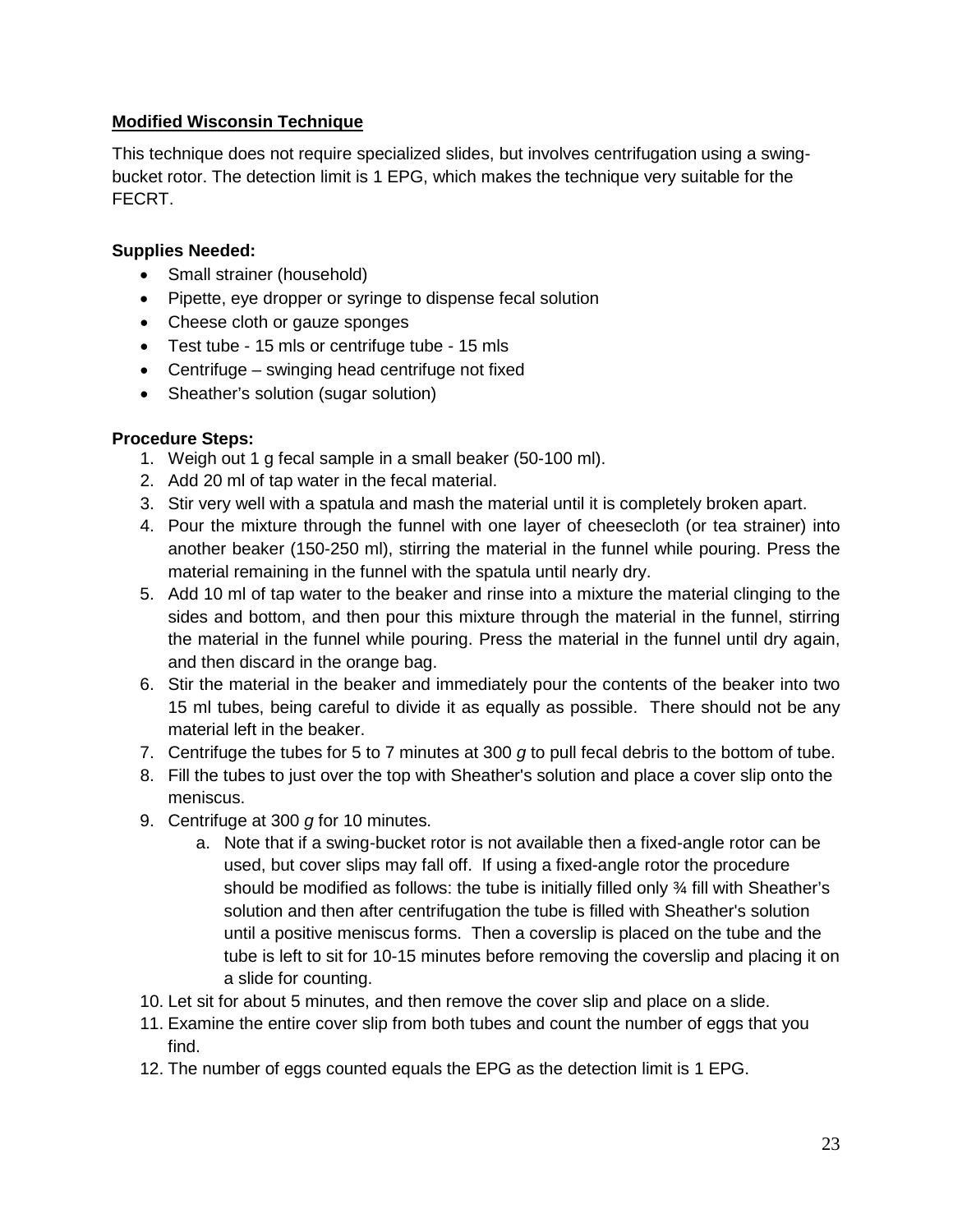#### **Modified Wisconsin Technique**

This technique does not require specialized slides, but involves centrifugation using a swingbucket rotor. The detection limit is 1 EPG, which makes the technique very suitable for the FECRT.

## **Supplies Needed:**

- Small strainer (household)
- Pipette, eye dropper or syringe to dispense fecal solution
- Cheese cloth or gauze sponges
- Test tube 15 mls or centrifuge tube 15 mls
- Centrifuge swinging head centrifuge not fixed
- Sheather's solution (sugar solution)

#### **Procedure Steps:**

- 1. Weigh out 1 g fecal sample in a small beaker (50-100 ml).
- 2. Add 20 ml of tap water in the fecal material.
- 3. Stir very well with a spatula and mash the material until it is completely broken apart.
- 4. Pour the mixture through the funnel with one layer of cheesecloth (or tea strainer) into another beaker (150-250 ml), stirring the material in the funnel while pouring. Press the material remaining in the funnel with the spatula until nearly dry.
- 5. Add 10 ml of tap water to the beaker and rinse into a mixture the material clinging to the sides and bottom, and then pour this mixture through the material in the funnel, stirring the material in the funnel while pouring. Press the material in the funnel until dry again, and then discard in the orange bag.
- 6. Stir the material in the beaker and immediately pour the contents of the beaker into two 15 ml tubes, being careful to divide it as equally as possible. There should not be any material left in the beaker.
- 7. Centrifuge the tubes for 5 to 7 minutes at 300 *g* to pull fecal debris to the bottom of tube.
- 8. Fill the tubes to just over the top with Sheather's solution and place a cover slip onto the meniscus.
- 9. Centrifuge at 300 *g* for 10 minutes.
	- a. Note that if a swing-bucket rotor is not available then a fixed-angle rotor can be used, but cover slips may fall off. If using a fixed-angle rotor the procedure should be modified as follows: the tube is initially filled only ¾ fill with Sheather's solution and then after centrifugation the tube is filled with Sheather's solution until a positive meniscus forms. Then a coverslip is placed on the tube and the tube is left to sit for 10-15 minutes before removing the coverslip and placing it on a slide for counting.
- 10. Let sit for about 5 minutes, and then remove the cover slip and place on a slide.
- 11. Examine the entire cover slip from both tubes and count the number of eggs that you find.
- 12. The number of eggs counted equals the EPG as the detection limit is 1 EPG.